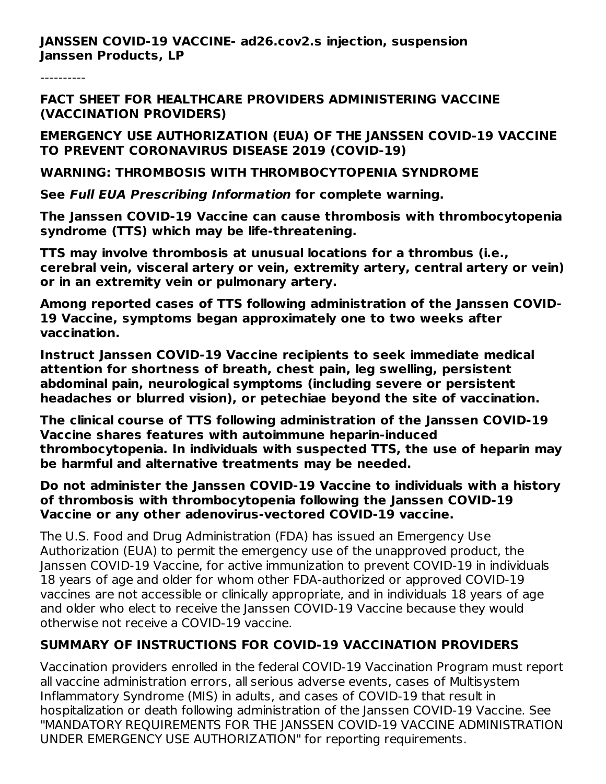**JANSSEN COVID-19 VACCINE- ad26.cov2.s injection, suspension Janssen Products, LP**

----------

**FACT SHEET FOR HEALTHCARE PROVIDERS ADMINISTERING VACCINE (VACCINATION PROVIDERS)**

**EMERGENCY USE AUTHORIZATION (EUA) OF THE JANSSEN COVID-19 VACCINE TO PREVENT CORONAVIRUS DISEASE 2019 (COVID-19)**

**WARNING: THROMBOSIS WITH THROMBOCYTOPENIA SYNDROME**

**See Full EUA Prescribing Information for complete warning.**

**The Janssen COVID-19 Vaccine can cause thrombosis with thrombocytopenia syndrome (TTS) which may be life-threatening.**

**TTS may involve thrombosis at unusual locations for a thrombus (i.e., cerebral vein, visceral artery or vein, extremity artery, central artery or vein) or in an extremity vein or pulmonary artery.**

**Among reported cases of TTS following administration of the Janssen COVID-19 Vaccine, symptoms began approximately one to two weeks after vaccination.**

**Instruct Janssen COVID-19 Vaccine recipients to seek immediate medical attention for shortness of breath, chest pain, leg swelling, persistent abdominal pain, neurological symptoms (including severe or persistent headaches or blurred vision), or petechiae beyond the site of vaccination.**

**The clinical course of TTS following administration of the Janssen COVID-19 Vaccine shares features with autoimmune heparin-induced thrombocytopenia. In individuals with suspected TTS, the use of heparin may be harmful and alternative treatments may be needed.**

### **Do not administer the Janssen COVID-19 Vaccine to individuals with a history of thrombosis with thrombocytopenia following the Janssen COVID-19 Vaccine or any other adenovirus-vectored COVID-19 vaccine.**

The U.S. Food and Drug Administration (FDA) has issued an Emergency Use Authorization (EUA) to permit the emergency use of the unapproved product, the Janssen COVID-19 Vaccine, for active immunization to prevent COVID-19 in individuals 18 years of age and older for whom other FDA-authorized or approved COVID-19 vaccines are not accessible or clinically appropriate, and in individuals 18 years of age and older who elect to receive the Janssen COVID-19 Vaccine because they would otherwise not receive a COVID-19 vaccine.

# **SUMMARY OF INSTRUCTIONS FOR COVID-19 VACCINATION PROVIDERS**

Vaccination providers enrolled in the federal COVID-19 Vaccination Program must report all vaccine administration errors, all serious adverse events, cases of Multisystem Inflammatory Syndrome (MIS) in adults, and cases of COVID-19 that result in hospitalization or death following administration of the Janssen COVID-19 Vaccine. See "MANDATORY REQUIREMENTS FOR THE JANSSEN COVID-19 VACCINE ADMINISTRATION UNDER EMERGENCY USE AUTHORIZATION" for reporting requirements.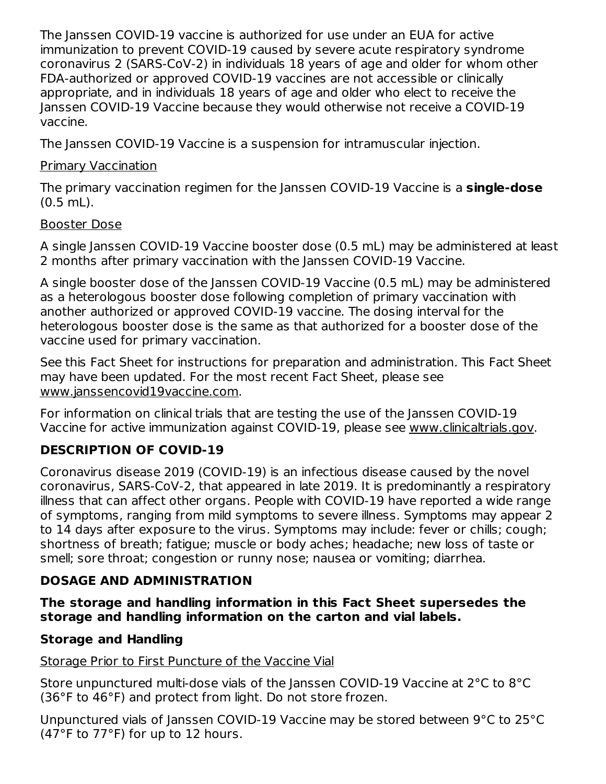The Janssen COVID-19 vaccine is authorized for use under an EUA for active immunization to prevent COVID-19 caused by severe acute respiratory syndrome coronavirus 2 (SARS-CoV-2) in individuals 18 years of age and older for whom other FDA-authorized or approved COVID-19 vaccines are not accessible or clinically appropriate, and in individuals 18 years of age and older who elect to receive the Janssen COVID-19 Vaccine because they would otherwise not receive a COVID-19 vaccine.

The Janssen COVID-19 Vaccine is a suspension for intramuscular injection.

### Primary Vaccination

The primary vaccination regimen for the Janssen COVID-19 Vaccine is a **single-dose** (0.5 mL).

# Booster Dose

A single Janssen COVID-19 Vaccine booster dose (0.5 mL) may be administered at least 2 months after primary vaccination with the Janssen COVID-19 Vaccine.

A single booster dose of the Janssen COVID-19 Vaccine (0.5 mL) may be administered as a heterologous booster dose following completion of primary vaccination with another authorized or approved COVID-19 vaccine. The dosing interval for the heterologous booster dose is the same as that authorized for a booster dose of the vaccine used for primary vaccination.

See this Fact Sheet for instructions for preparation and administration. This Fact Sheet may have been updated. For the most recent Fact Sheet, please see www.janssencovid19vaccine.com.

For information on clinical trials that are testing the use of the Janssen COVID-19 Vaccine for active immunization against COVID-19, please see www.clinicaltrials.gov.

# **DESCRIPTION OF COVID-19**

Coronavirus disease 2019 (COVID-19) is an infectious disease caused by the novel coronavirus, SARS-CoV-2, that appeared in late 2019. It is predominantly a respiratory illness that can affect other organs. People with COVID-19 have reported a wide range of symptoms, ranging from mild symptoms to severe illness. Symptoms may appear 2 to 14 days after exposure to the virus. Symptoms may include: fever or chills; cough; shortness of breath; fatigue; muscle or body aches; headache; new loss of taste or smell; sore throat; congestion or runny nose; nausea or vomiting; diarrhea.

# **DOSAGE AND ADMINISTRATION**

### **The storage and handling information in this Fact Sheet supersedes the storage and handling information on the carton and vial labels.**

# **Storage and Handling**

# Storage Prior to First Puncture of the Vaccine Vial

Store unpunctured multi-dose vials of the Janssen COVID-19 Vaccine at 2°C to 8°C (36°F to 46°F) and protect from light. Do not store frozen.

Unpunctured vials of Janssen COVID-19 Vaccine may be stored between 9°C to 25°C (47°F to 77°F) for up to 12 hours.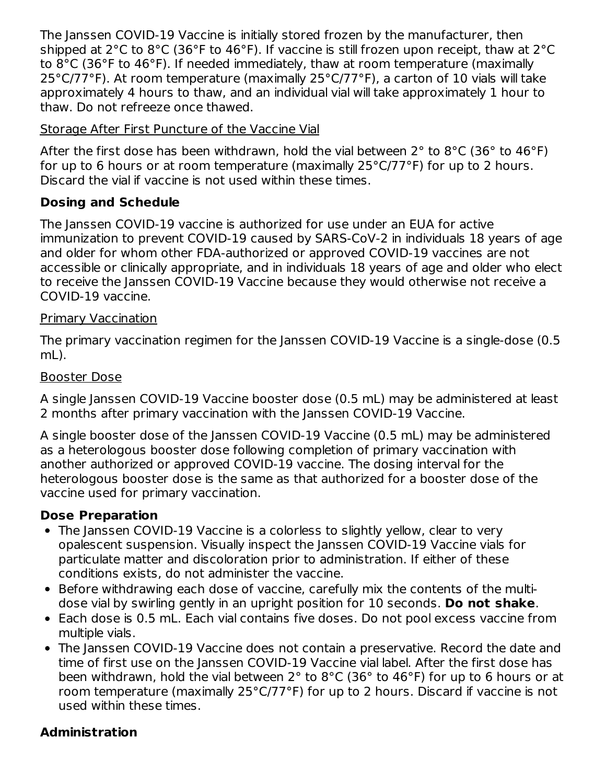The Janssen COVID-19 Vaccine is initially stored frozen by the manufacturer, then shipped at 2°C to 8°C (36°F to 46°F). If vaccine is still frozen upon receipt, thaw at 2°C to 8°C (36°F to 46°F). If needed immediately, thaw at room temperature (maximally 25°C/77°F). At room temperature (maximally 25°C/77°F), a carton of 10 vials will take approximately 4 hours to thaw, and an individual vial will take approximately 1 hour to thaw. Do not refreeze once thawed.

### Storage After First Puncture of the Vaccine Vial

After the first dose has been withdrawn, hold the vial between 2° to 8°C (36° to 46°F) for up to 6 hours or at room temperature (maximally 25°C/77°F) for up to 2 hours. Discard the vial if vaccine is not used within these times.

## **Dosing and Schedule**

The Janssen COVID-19 vaccine is authorized for use under an EUA for active immunization to prevent COVID-19 caused by SARS-CoV-2 in individuals 18 years of age and older for whom other FDA-authorized or approved COVID-19 vaccines are not accessible or clinically appropriate, and in individuals 18 years of age and older who elect to receive the Janssen COVID-19 Vaccine because they would otherwise not receive a COVID-19 vaccine.

### Primary Vaccination

The primary vaccination regimen for the Janssen COVID-19 Vaccine is a single-dose (0.5 mL).

### Booster Dose

A single Janssen COVID-19 Vaccine booster dose (0.5 mL) may be administered at least 2 months after primary vaccination with the Janssen COVID-19 Vaccine.

A single booster dose of the Janssen COVID-19 Vaccine (0.5 mL) may be administered as a heterologous booster dose following completion of primary vaccination with another authorized or approved COVID-19 vaccine. The dosing interval for the heterologous booster dose is the same as that authorized for a booster dose of the vaccine used for primary vaccination.

### **Dose Preparation**

- The Janssen COVID-19 Vaccine is a colorless to slightly yellow, clear to very opalescent suspension. Visually inspect the Janssen COVID-19 Vaccine vials for particulate matter and discoloration prior to administration. If either of these conditions exists, do not administer the vaccine.
- Before withdrawing each dose of vaccine, carefully mix the contents of the multidose vial by swirling gently in an upright position for 10 seconds. **Do not shake**.
- Each dose is 0.5 mL. Each vial contains five doses. Do not pool excess vaccine from multiple vials.
- The Janssen COVID-19 Vaccine does not contain a preservative. Record the date and time of first use on the Janssen COVID-19 Vaccine vial label. After the first dose has been withdrawn, hold the vial between 2° to 8°C (36° to 46°F) for up to 6 hours or at room temperature (maximally 25°C/77°F) for up to 2 hours. Discard if vaccine is not used within these times.

### **Administration**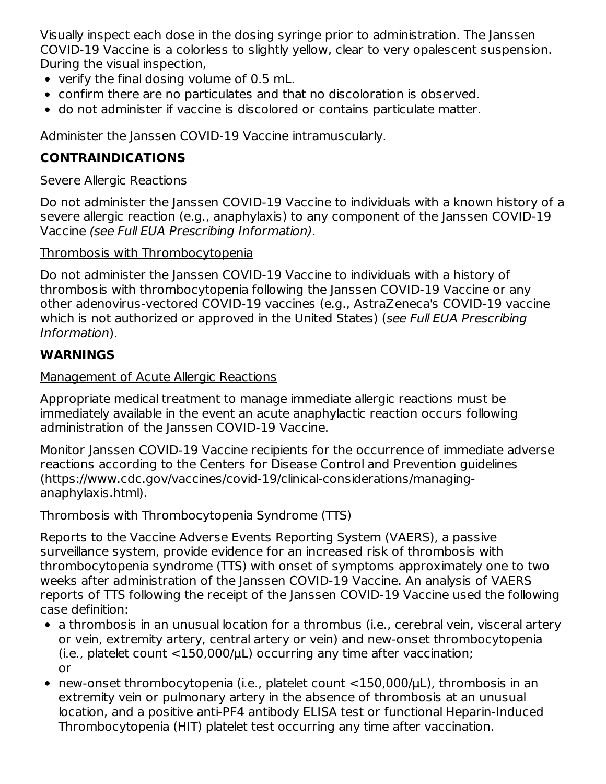Visually inspect each dose in the dosing syringe prior to administration. The Janssen COVID-19 Vaccine is a colorless to slightly yellow, clear to very opalescent suspension. During the visual inspection,

- verify the final dosing volume of 0.5 mL.
- confirm there are no particulates and that no discoloration is observed.
- do not administer if vaccine is discolored or contains particulate matter.

Administer the Janssen COVID-19 Vaccine intramuscularly.

# **CONTRAINDICATIONS**

### Severe Allergic Reactions

Do not administer the Janssen COVID-19 Vaccine to individuals with a known history of a severe allergic reaction (e.g., anaphylaxis) to any component of the Janssen COVID-19 Vaccine (see Full EUA Prescribing Information).

### Thrombosis with Thrombocytopenia

Do not administer the Janssen COVID-19 Vaccine to individuals with a history of thrombosis with thrombocytopenia following the Janssen COVID-19 Vaccine or any other adenovirus-vectored COVID-19 vaccines (e.g., AstraZeneca's COVID-19 vaccine which is not authorized or approved in the United States) (see Full EUA Prescribing Information).

## **WARNINGS**

### Management of Acute Allergic Reactions

Appropriate medical treatment to manage immediate allergic reactions must be immediately available in the event an acute anaphylactic reaction occurs following administration of the Janssen COVID-19 Vaccine.

Monitor Janssen COVID-19 Vaccine recipients for the occurrence of immediate adverse reactions according to the Centers for Disease Control and Prevention guidelines (https://www.cdc.gov/vaccines/covid-19/clinical-considerations/managinganaphylaxis.html).

### Thrombosis with Thrombocytopenia Syndrome (TTS)

Reports to the Vaccine Adverse Events Reporting System (VAERS), a passive surveillance system, provide evidence for an increased risk of thrombosis with thrombocytopenia syndrome (TTS) with onset of symptoms approximately one to two weeks after administration of the Janssen COVID-19 Vaccine. An analysis of VAERS reports of TTS following the receipt of the Janssen COVID-19 Vaccine used the following case definition:

- a thrombosis in an unusual location for a thrombus (i.e., cerebral vein, visceral artery or vein, extremity artery, central artery or vein) and new-onset thrombocytopenia (i.e., platelet count <150,000/μL) occurring any time after vaccination; or
- new-onset thrombocytopenia (i.e., platelet count <150,000/μL), thrombosis in an extremity vein or pulmonary artery in the absence of thrombosis at an unusual location, and a positive anti-PF4 antibody ELISA test or functional Heparin-Induced Thrombocytopenia (HIT) platelet test occurring any time after vaccination.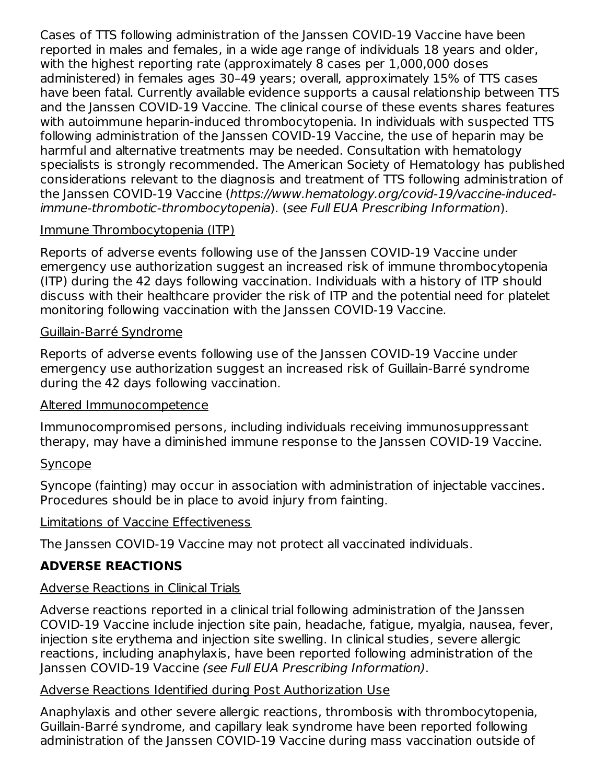Cases of TTS following administration of the Janssen COVID-19 Vaccine have been reported in males and females, in a wide age range of individuals 18 years and older, with the highest reporting rate (approximately 8 cases per 1,000,000 doses administered) in females ages 30–49 years; overall, approximately 15% of TTS cases have been fatal. Currently available evidence supports a causal relationship between TTS and the Janssen COVID-19 Vaccine. The clinical course of these events shares features with autoimmune heparin-induced thrombocytopenia. In individuals with suspected TTS following administration of the Janssen COVID-19 Vaccine, the use of heparin may be harmful and alternative treatments may be needed. Consultation with hematology specialists is strongly recommended. The American Society of Hematology has published considerations relevant to the diagnosis and treatment of TTS following administration of the Janssen COVID-19 Vaccine (https://www.hematology.org/covid-19/vaccine-inducedimmune-thrombotic-thrombocytopenia). (see Full EUA Prescribing Information).

### Immune Thrombocytopenia (ITP)

Reports of adverse events following use of the Janssen COVID-19 Vaccine under emergency use authorization suggest an increased risk of immune thrombocytopenia (ITP) during the 42 days following vaccination. Individuals with a history of ITP should discuss with their healthcare provider the risk of ITP and the potential need for platelet monitoring following vaccination with the Janssen COVID-19 Vaccine.

### Guillain-Barré Syndrome

Reports of adverse events following use of the Janssen COVID-19 Vaccine under emergency use authorization suggest an increased risk of Guillain-Barré syndrome during the 42 days following vaccination.

### Altered Immunocompetence

Immunocompromised persons, including individuals receiving immunosuppressant therapy, may have a diminished immune response to the Janssen COVID-19 Vaccine.

### Syncope

Syncope (fainting) may occur in association with administration of injectable vaccines. Procedures should be in place to avoid injury from fainting.

### Limitations of Vaccine Effectiveness

The Janssen COVID-19 Vaccine may not protect all vaccinated individuals.

# **ADVERSE REACTIONS**

### Adverse Reactions in Clinical Trials

Adverse reactions reported in a clinical trial following administration of the Janssen COVID-19 Vaccine include injection site pain, headache, fatigue, myalgia, nausea, fever, injection site erythema and injection site swelling. In clinical studies, severe allergic reactions, including anaphylaxis, have been reported following administration of the Janssen COVID-19 Vaccine (see Full EUA Prescribing Information).

### Adverse Reactions Identified during Post Authorization Use

Anaphylaxis and other severe allergic reactions, thrombosis with thrombocytopenia, Guillain-Barré syndrome, and capillary leak syndrome have been reported following administration of the Janssen COVID-19 Vaccine during mass vaccination outside of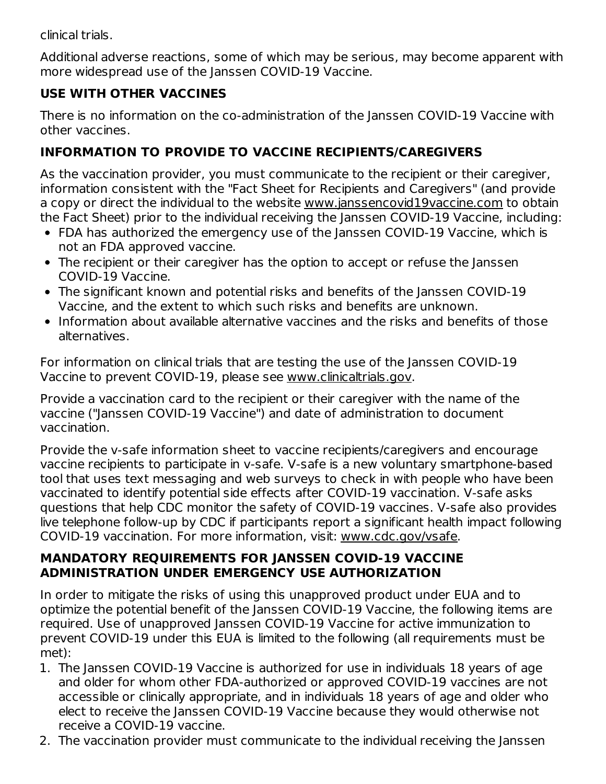clinical trials.

Additional adverse reactions, some of which may be serious, may become apparent with more widespread use of the Janssen COVID-19 Vaccine.

# **USE WITH OTHER VACCINES**

There is no information on the co-administration of the Janssen COVID-19 Vaccine with other vaccines.

# **INFORMATION TO PROVIDE TO VACCINE RECIPIENTS/CAREGIVERS**

As the vaccination provider, you must communicate to the recipient or their caregiver, information consistent with the "Fact Sheet for Recipients and Caregivers" (and provide a copy or direct the individual to the website www.janssencovid19vaccine.com to obtain the Fact Sheet) prior to the individual receiving the Janssen COVID-19 Vaccine, including:

- FDA has authorized the emergency use of the Janssen COVID-19 Vaccine, which is not an FDA approved vaccine.
- The recipient or their caregiver has the option to accept or refuse the Janssen COVID-19 Vaccine.
- The significant known and potential risks and benefits of the Janssen COVID-19 Vaccine, and the extent to which such risks and benefits are unknown.
- $\bullet$  Information about available alternative vaccines and the risks and benefits of those alternatives.

For information on clinical trials that are testing the use of the Janssen COVID-19 Vaccine to prevent COVID-19, please see www.clinicaltrials.gov.

Provide a vaccination card to the recipient or their caregiver with the name of the vaccine ("Janssen COVID-19 Vaccine") and date of administration to document vaccination.

Provide the v-safe information sheet to vaccine recipients/caregivers and encourage vaccine recipients to participate in v-safe. V-safe is a new voluntary smartphone-based tool that uses text messaging and web surveys to check in with people who have been vaccinated to identify potential side effects after COVID-19 vaccination. V-safe asks questions that help CDC monitor the safety of COVID-19 vaccines. V-safe also provides live telephone follow-up by CDC if participants report a significant health impact following COVID-19 vaccination. For more information, visit: www.cdc.gov/vsafe.

### **MANDATORY REQUIREMENTS FOR JANSSEN COVID-19 VACCINE ADMINISTRATION UNDER EMERGENCY USE AUTHORIZATION**

In order to mitigate the risks of using this unapproved product under EUA and to optimize the potential benefit of the Janssen COVID-19 Vaccine, the following items are required. Use of unapproved Janssen COVID-19 Vaccine for active immunization to prevent COVID-19 under this EUA is limited to the following (all requirements must be met):

- 1. The Janssen COVID-19 Vaccine is authorized for use in individuals 18 years of age and older for whom other FDA-authorized or approved COVID-19 vaccines are not accessible or clinically appropriate, and in individuals 18 years of age and older who elect to receive the Janssen COVID-19 Vaccine because they would otherwise not receive a COVID-19 vaccine.
- 2. The vaccination provider must communicate to the individual receiving the Janssen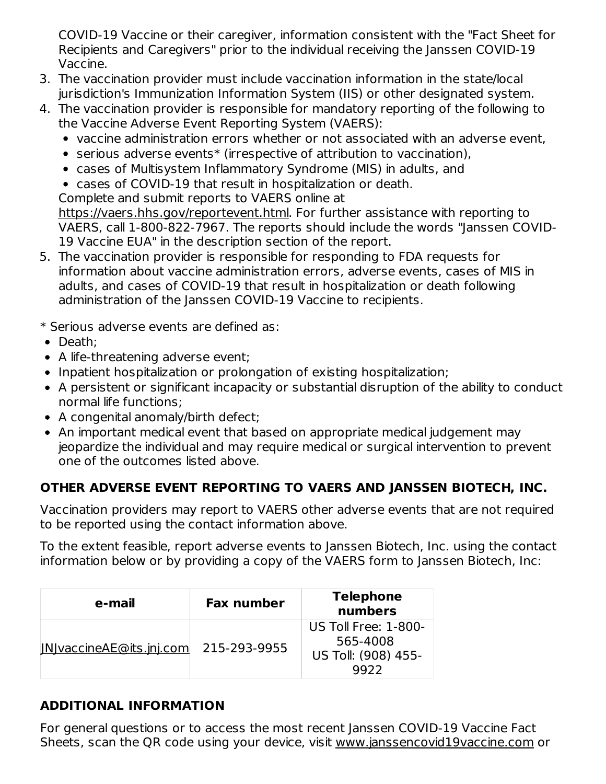COVID-19 Vaccine or their caregiver, information consistent with the "Fact Sheet for Recipients and Caregivers" prior to the individual receiving the Janssen COVID-19 Vaccine.

- 3. The vaccination provider must include vaccination information in the state/local jurisdiction's Immunization Information System (IIS) or other designated system.
- 4. The vaccination provider is responsible for mandatory reporting of the following to the Vaccine Adverse Event Reporting System (VAERS):
	- vaccine administration errors whether or not associated with an adverse event,
	- serious adverse events\* (irrespective of attribution to vaccination),
	- cases of Multisystem Inflammatory Syndrome (MIS) in adults, and
	- cases of COVID-19 that result in hospitalization or death.

Complete and submit reports to VAERS online at

https://vaers.hhs.gov/reportevent.html. For further assistance with reporting to VAERS, call 1-800-822-7967. The reports should include the words "Janssen COVID-19 Vaccine EUA" in the description section of the report.

5. The vaccination provider is responsible for responding to FDA requests for information about vaccine administration errors, adverse events, cases of MIS in adults, and cases of COVID-19 that result in hospitalization or death following administration of the Janssen COVID-19 Vaccine to recipients.

\* Serious adverse events are defined as:

- Death:
- A life-threatening adverse event;
- Inpatient hospitalization or prolongation of existing hospitalization;
- A persistent or significant incapacity or substantial disruption of the ability to conduct normal life functions;
- A congenital anomaly/birth defect;
- An important medical event that based on appropriate medical judgement may jeopardize the individual and may require medical or surgical intervention to prevent one of the outcomes listed above.

# **OTHER ADVERSE EVENT REPORTING TO VAERS AND JANSSEN BIOTECH, INC.**

Vaccination providers may report to VAERS other adverse events that are not required to be reported using the contact information above.

To the extent feasible, report adverse events to Janssen Biotech, Inc. using the contact information below or by providing a copy of the VAERS form to Janssen Biotech, Inc:

| e-mail                   | <b>Fax number</b> | <b>Telephone</b><br>numbers                                     |
|--------------------------|-------------------|-----------------------------------------------------------------|
| INJvaccineAE@its.jnj.com | 215-293-9955      | US Toll Free: 1-800-<br>565-4008<br>US Toll: (908) 455-<br>9922 |

# **ADDITIONAL INFORMATION**

For general questions or to access the most recent Janssen COVID-19 Vaccine Fact Sheets, scan the QR code using your device, visit www.janssencovid19vaccine.com or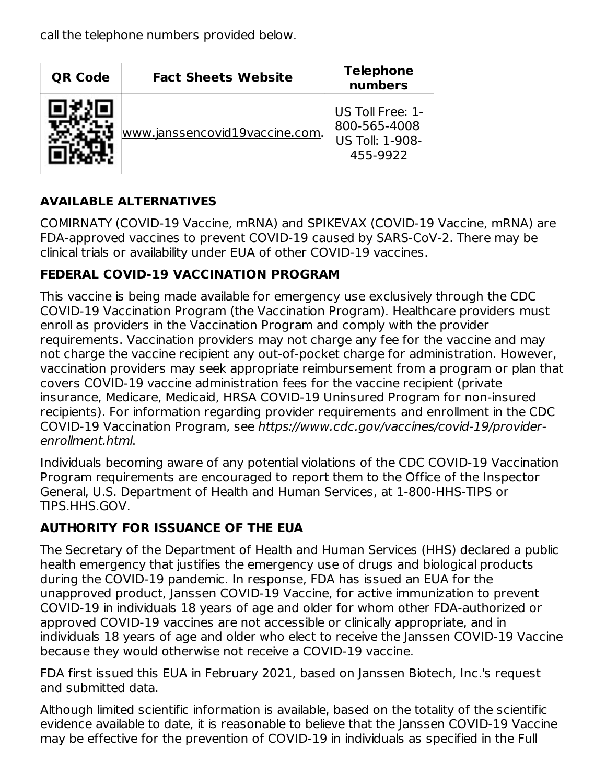call the telephone numbers provided below.

| <b>QR Code</b> | <b>Fact Sheets Website</b>     | <b>Telephone</b><br>numbers                                     |
|----------------|--------------------------------|-----------------------------------------------------------------|
|                | www.janssencovid19vaccine.com. | US Toll Free: 1-<br>800-565-4008<br>US Toll: 1-908-<br>455-9922 |

## **AVAILABLE ALTERNATIVES**

COMIRNATY (COVID-19 Vaccine, mRNA) and SPIKEVAX (COVID-19 Vaccine, mRNA) are FDA-approved vaccines to prevent COVID-19 caused by SARS-CoV-2. There may be clinical trials or availability under EUA of other COVID-19 vaccines.

### **FEDERAL COVID-19 VACCINATION PROGRAM**

This vaccine is being made available for emergency use exclusively through the CDC COVID-19 Vaccination Program (the Vaccination Program). Healthcare providers must enroll as providers in the Vaccination Program and comply with the provider requirements. Vaccination providers may not charge any fee for the vaccine and may not charge the vaccine recipient any out-of-pocket charge for administration. However, vaccination providers may seek appropriate reimbursement from a program or plan that covers COVID-19 vaccine administration fees for the vaccine recipient (private insurance, Medicare, Medicaid, HRSA COVID-19 Uninsured Program for non-insured recipients). For information regarding provider requirements and enrollment in the CDC COVID-19 Vaccination Program, see https://www.cdc.gov/vaccines/covid-19/providerenrollment.html.

Individuals becoming aware of any potential violations of the CDC COVID-19 Vaccination Program requirements are encouraged to report them to the Office of the Inspector General, U.S. Department of Health and Human Services, at 1-800-HHS-TIPS or TIPS.HHS.GOV.

### **AUTHORITY FOR ISSUANCE OF THE EUA**

The Secretary of the Department of Health and Human Services (HHS) declared a public health emergency that justifies the emergency use of drugs and biological products during the COVID-19 pandemic. In response, FDA has issued an EUA for the unapproved product, Janssen COVID-19 Vaccine, for active immunization to prevent COVID-19 in individuals 18 years of age and older for whom other FDA-authorized or approved COVID-19 vaccines are not accessible or clinically appropriate, and in individuals 18 years of age and older who elect to receive the Janssen COVID-19 Vaccine because they would otherwise not receive a COVID-19 vaccine.

FDA first issued this EUA in February 2021, based on Janssen Biotech, Inc.'s request and submitted data.

Although limited scientific information is available, based on the totality of the scientific evidence available to date, it is reasonable to believe that the Janssen COVID-19 Vaccine may be effective for the prevention of COVID-19 in individuals as specified in the Full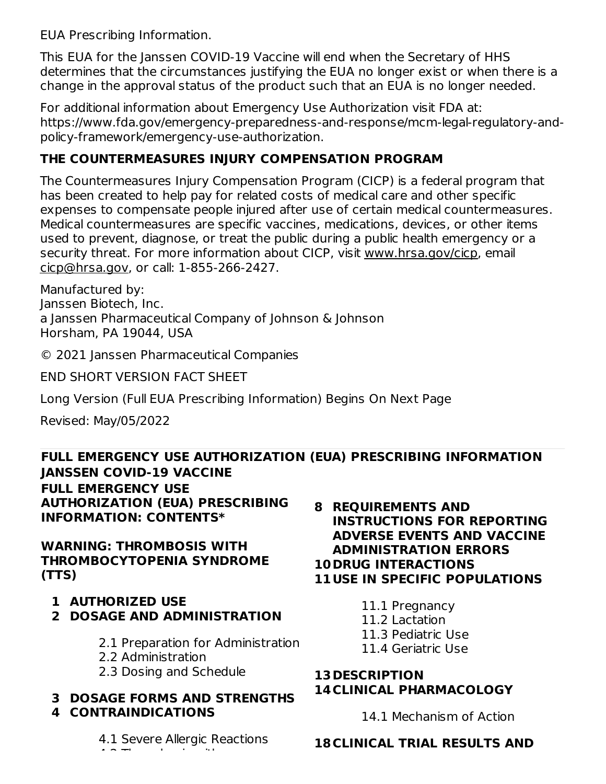EUA Prescribing Information.

This EUA for the Janssen COVID-19 Vaccine will end when the Secretary of HHS determines that the circumstances justifying the EUA no longer exist or when there is a change in the approval status of the product such that an EUA is no longer needed.

For additional information about Emergency Use Authorization visit FDA at: https://www.fda.gov/emergency-preparedness-and-response/mcm-legal-regulatory-andpolicy-framework/emergency-use-authorization.

## **THE COUNTERMEASURES INJURY COMPENSATION PROGRAM**

The Countermeasures Injury Compensation Program (CICP) is a federal program that has been created to help pay for related costs of medical care and other specific expenses to compensate people injured after use of certain medical countermeasures. Medical countermeasures are specific vaccines, medications, devices, or other items used to prevent, diagnose, or treat the public during a public health emergency or a security threat. For more information about CICP, visit www.hrsa.gov/cicp, email cicp@hrsa.gov, or call: 1-855-266-2427.

Manufactured by: Janssen Biotech, Inc. a Janssen Pharmaceutical Company of Johnson & Johnson Horsham, PA 19044, USA

© 2021 Janssen Pharmaceutical Companies

END SHORT VERSION FACT SHEET

Long Version (Full EUA Prescribing Information) Begins On Next Page

Revised: May/05/2022

#### **FULL EMERGENCY USE AUTHORIZATION (EUA) PRESCRIBING INFORMATION JANSSEN COVID-19 VACCINE FULL EMERGENCY USE AUTHORIZATION (EUA) PRESCRIBING INFORMATION: CONTENTS\* 8 REQUIREMENTS AND**

**WARNING: THROMBOSIS WITH THROMBOCYTOPENIA SYNDROME (TTS)**

**1 AUTHORIZED USE**

### **2 DOSAGE AND ADMINISTRATION**

- 2.1 Preparation for Administration
- 2.2 Administration
- 2.3 Dosing and Schedule

### **3 DOSAGE FORMS AND STRENGTHS 4 CONTRAINDICATIONS**

4.1 Severe Allergic Reactions  $\overline{A}$   $\overline{A}$   $\overline{B}$   $\overline{C}$   $\overline{C}$   $\overline{D}$   $\overline{D}$   $\overline{D}$   $\overline{D}$   $\overline{D}$   $\overline{D}$   $\overline{D}$   $\overline{D}$   $\overline{D}$   $\overline{D}$   $\overline{D}$   $\overline{D}$   $\overline{D}$   $\overline{D}$   $\overline{D}$   $\overline{D}$   $\overline{D}$   $\overline{D}$   $\overline{D}$   $\overline{$ 

- **10 DRUG INTERACTIONS 11 USE IN SPECIFIC POPULATIONS INSTRUCTIONS FOR REPORTING ADVERSE EVENTS AND VACCINE ADMINISTRATION ERRORS**
	- 11.1 Pregnancy
	- 11.2 Lactation
	- 11.3 Pediatric Use
	- 11.4 Geriatric Use

### **13 DESCRIPTION 14 CLINICAL PHARMACOLOGY**

14.1 Mechanism of Action

### **18 CLINICAL TRIAL RESULTS AND**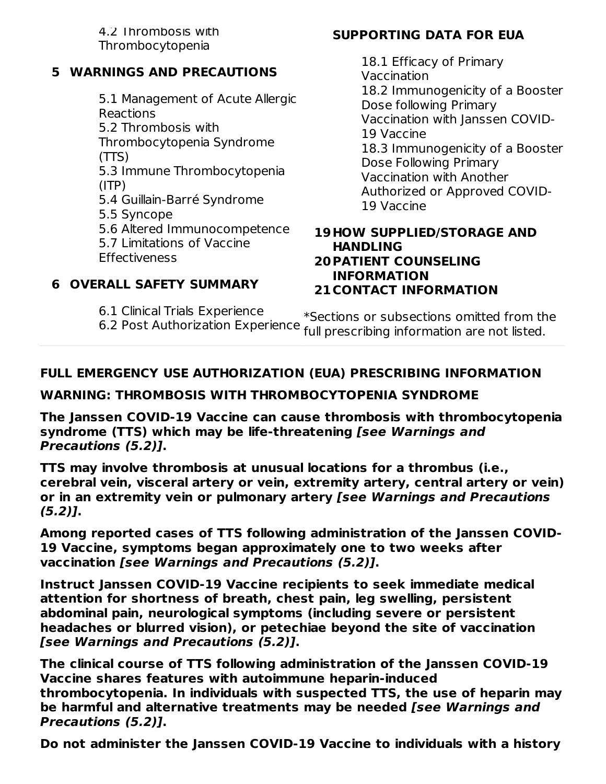4.2 Inrombosis with Thrombocytopenia

### **5 WARNINGS AND PRECAUTIONS**

5.1 Management of Acute Allergic Reactions 5.2 Thrombosis with Thrombocytopenia Syndrome (TTS) 5.3 Immune Thrombocytopenia (ITP) 5.4 Guillain-Barré Syndrome 5.5 Syncope 5.6 Altered Immunocompetence 5.7 Limitations of Vaccine **Effectiveness** 

# **SUPPORTING DATA FOR EUA**

18.1 Efficacy of Primary Vaccination 18.2 Immunogenicity of a Booster Dose following Primary Vaccination with Janssen COVID-19 Vaccine 18.3 Immunogenicity of a Booster Dose Following Primary Vaccination with Another Authorized or Approved COVID-19 Vaccine

### **19 HOW SUPPLIED/STORAGE AND 20 PATIENT COUNSELING 21 CONTACT INFORMATIONHANDLING INFORMATION**

### **6 OVERALL SAFETY SUMMARY**

\*Sections or subsections omitted from the 6.2 Post Authorization Experience Sections of Subsections of meters from an 6.1 Clinical Trials Experience

## **FULL EMERGENCY USE AUTHORIZATION (EUA) PRESCRIBING INFORMATION**

### **WARNING: THROMBOSIS WITH THROMBOCYTOPENIA SYNDROME**

**The Janssen COVID-19 Vaccine can cause thrombosis with thrombocytopenia syndrome (TTS) which may be life-threatening [see Warnings and Precautions (5.2)].**

**TTS may involve thrombosis at unusual locations for a thrombus (i.e., cerebral vein, visceral artery or vein, extremity artery, central artery or vein) or in an extremity vein or pulmonary artery [see Warnings and Precautions (5.2)].**

**Among reported cases of TTS following administration of the Janssen COVID-19 Vaccine, symptoms began approximately one to two weeks after vaccination [see Warnings and Precautions (5.2)].**

**Instruct Janssen COVID-19 Vaccine recipients to seek immediate medical attention for shortness of breath, chest pain, leg swelling, persistent abdominal pain, neurological symptoms (including severe or persistent headaches or blurred vision), or petechiae beyond the site of vaccination [see Warnings and Precautions (5.2)].**

**The clinical course of TTS following administration of the Janssen COVID-19 Vaccine shares features with autoimmune heparin-induced thrombocytopenia. In individuals with suspected TTS, the use of heparin may be harmful and alternative treatments may be needed [see Warnings and Precautions (5.2)].**

**Do not administer the Janssen COVID-19 Vaccine to individuals with a history**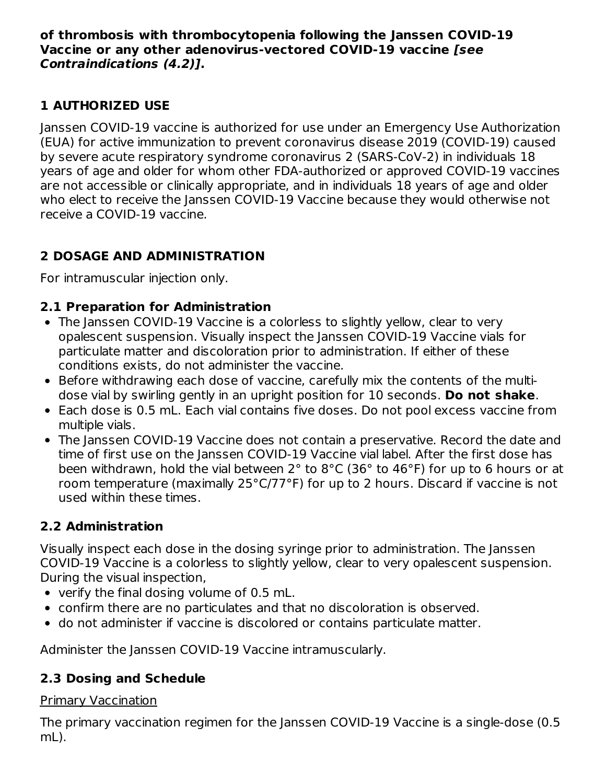### **of thrombosis with thrombocytopenia following the Janssen COVID-19 Vaccine or any other adenovirus-vectored COVID-19 vaccine [see Contraindications (4.2)].**

# **1 AUTHORIZED USE**

Janssen COVID-19 vaccine is authorized for use under an Emergency Use Authorization (EUA) for active immunization to prevent coronavirus disease 2019 (COVID-19) caused by severe acute respiratory syndrome coronavirus 2 (SARS-CoV-2) in individuals 18 years of age and older for whom other FDA-authorized or approved COVID-19 vaccines are not accessible or clinically appropriate, and in individuals 18 years of age and older who elect to receive the Janssen COVID-19 Vaccine because they would otherwise not receive a COVID-19 vaccine.

# **2 DOSAGE AND ADMINISTRATION**

For intramuscular injection only.

# **2.1 Preparation for Administration**

- The Janssen COVID-19 Vaccine is a colorless to slightly yellow, clear to very opalescent suspension. Visually inspect the Janssen COVID-19 Vaccine vials for particulate matter and discoloration prior to administration. If either of these conditions exists, do not administer the vaccine.
- Before withdrawing each dose of vaccine, carefully mix the contents of the multidose vial by swirling gently in an upright position for 10 seconds. **Do not shake**.
- Each dose is 0.5 mL. Each vial contains five doses. Do not pool excess vaccine from multiple vials.
- The Janssen COVID-19 Vaccine does not contain a preservative. Record the date and time of first use on the Janssen COVID-19 Vaccine vial label. After the first dose has been withdrawn, hold the vial between 2° to 8°C (36° to 46°F) for up to 6 hours or at room temperature (maximally 25°C/77°F) for up to 2 hours. Discard if vaccine is not used within these times.

# **2.2 Administration**

Visually inspect each dose in the dosing syringe prior to administration. The Janssen COVID-19 Vaccine is a colorless to slightly yellow, clear to very opalescent suspension. During the visual inspection,

- verify the final dosing volume of 0.5 mL.
- confirm there are no particulates and that no discoloration is observed.
- do not administer if vaccine is discolored or contains particulate matter.

Administer the Janssen COVID-19 Vaccine intramuscularly.

# **2.3 Dosing and Schedule**

# Primary Vaccination

The primary vaccination regimen for the Janssen COVID-19 Vaccine is a single-dose (0.5 mL).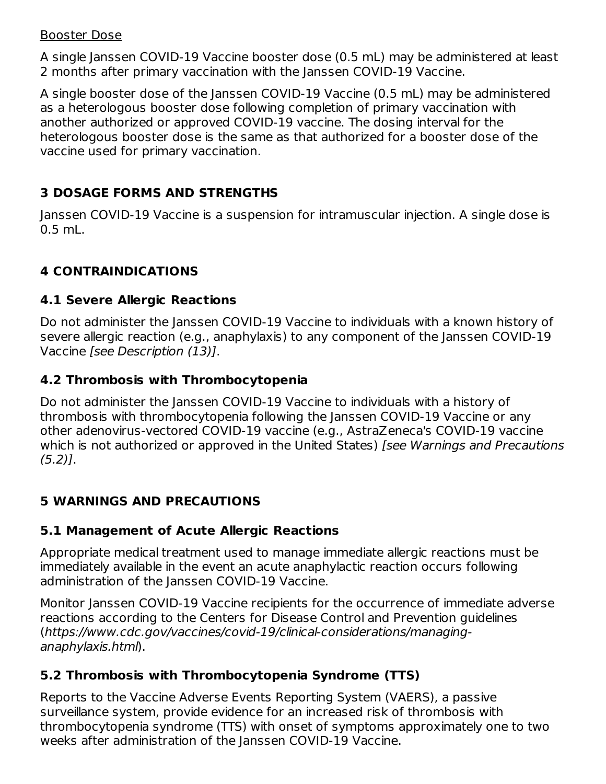### Booster Dose

A single Janssen COVID-19 Vaccine booster dose (0.5 mL) may be administered at least 2 months after primary vaccination with the Janssen COVID-19 Vaccine.

A single booster dose of the Janssen COVID-19 Vaccine (0.5 mL) may be administered as a heterologous booster dose following completion of primary vaccination with another authorized or approved COVID-19 vaccine. The dosing interval for the heterologous booster dose is the same as that authorized for a booster dose of the vaccine used for primary vaccination.

## **3 DOSAGE FORMS AND STRENGTHS**

Janssen COVID-19 Vaccine is a suspension for intramuscular injection. A single dose is 0.5 mL.

# **4 CONTRAINDICATIONS**

### **4.1 Severe Allergic Reactions**

Do not administer the Janssen COVID-19 Vaccine to individuals with a known history of severe allergic reaction (e.g., anaphylaxis) to any component of the Janssen COVID-19 Vaccine [see Description (13)].

### **4.2 Thrombosis with Thrombocytopenia**

Do not administer the Janssen COVID-19 Vaccine to individuals with a history of thrombosis with thrombocytopenia following the Janssen COVID-19 Vaccine or any other adenovirus-vectored COVID-19 vaccine (e.g., AstraZeneca's COVID-19 vaccine which is not authorized or approved in the United States) [see Warnings and Precautions (5.2)].

### **5 WARNINGS AND PRECAUTIONS**

### **5.1 Management of Acute Allergic Reactions**

Appropriate medical treatment used to manage immediate allergic reactions must be immediately available in the event an acute anaphylactic reaction occurs following administration of the Janssen COVID-19 Vaccine.

Monitor Janssen COVID-19 Vaccine recipients for the occurrence of immediate adverse reactions according to the Centers for Disease Control and Prevention guidelines (https://www.cdc.gov/vaccines/covid-19/clinical-considerations/managinganaphylaxis.html).

### **5.2 Thrombosis with Thrombocytopenia Syndrome (TTS)**

Reports to the Vaccine Adverse Events Reporting System (VAERS), a passive surveillance system, provide evidence for an increased risk of thrombosis with thrombocytopenia syndrome (TTS) with onset of symptoms approximately one to two weeks after administration of the Janssen COVID-19 Vaccine.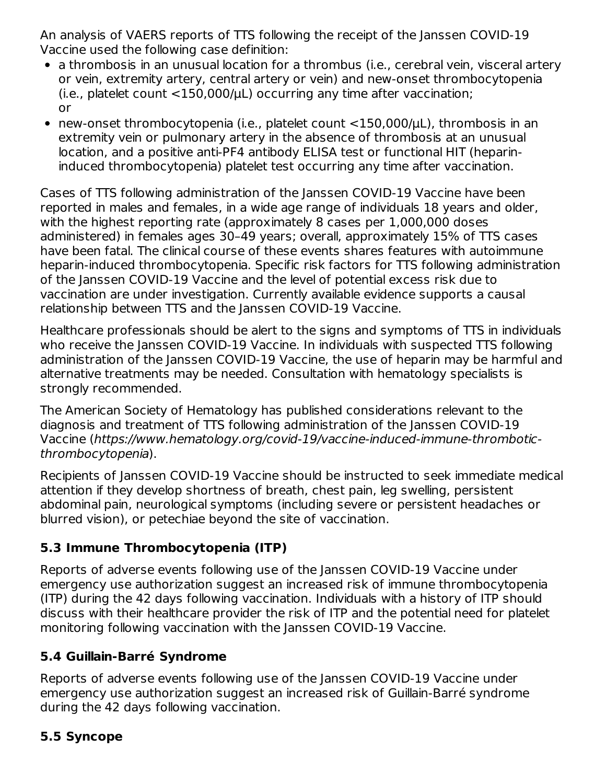An analysis of VAERS reports of TTS following the receipt of the Janssen COVID-19 Vaccine used the following case definition:

- a thrombosis in an unusual location for a thrombus (i.e., cerebral vein, visceral artery or vein, extremity artery, central artery or vein) and new-onset thrombocytopenia (i.e., platelet count <150,000/μL) occurring any time after vaccination; or
- new-onset thrombocytopenia (i.e., platelet count <150,000/μL), thrombosis in an extremity vein or pulmonary artery in the absence of thrombosis at an unusual location, and a positive anti-PF4 antibody ELISA test or functional HIT (heparininduced thrombocytopenia) platelet test occurring any time after vaccination.

Cases of TTS following administration of the Janssen COVID-19 Vaccine have been reported in males and females, in a wide age range of individuals 18 years and older, with the highest reporting rate (approximately 8 cases per 1,000,000 doses administered) in females ages 30–49 years; overall, approximately 15% of TTS cases have been fatal. The clinical course of these events shares features with autoimmune heparin-induced thrombocytopenia. Specific risk factors for TTS following administration of the Janssen COVID-19 Vaccine and the level of potential excess risk due to vaccination are under investigation. Currently available evidence supports a causal relationship between TTS and the Janssen COVID-19 Vaccine.

Healthcare professionals should be alert to the signs and symptoms of TTS in individuals who receive the Janssen COVID-19 Vaccine. In individuals with suspected TTS following administration of the Janssen COVID-19 Vaccine, the use of heparin may be harmful and alternative treatments may be needed. Consultation with hematology specialists is strongly recommended.

The American Society of Hematology has published considerations relevant to the diagnosis and treatment of TTS following administration of the Janssen COVID-19 Vaccine (https://www.hematology.org/covid-19/vaccine-induced-immune-thromboticthrombocytopenia).

Recipients of Janssen COVID-19 Vaccine should be instructed to seek immediate medical attention if they develop shortness of breath, chest pain, leg swelling, persistent abdominal pain, neurological symptoms (including severe or persistent headaches or blurred vision), or petechiae beyond the site of vaccination.

# **5.3 Immune Thrombocytopenia (ITP)**

Reports of adverse events following use of the Janssen COVID-19 Vaccine under emergency use authorization suggest an increased risk of immune thrombocytopenia (ITP) during the 42 days following vaccination. Individuals with a history of ITP should discuss with their healthcare provider the risk of ITP and the potential need for platelet monitoring following vaccination with the Janssen COVID-19 Vaccine.

# **5.4 Guillain-Barré Syndrome**

Reports of adverse events following use of the Janssen COVID-19 Vaccine under emergency use authorization suggest an increased risk of Guillain-Barré syndrome during the 42 days following vaccination.

# **5.5 Syncope**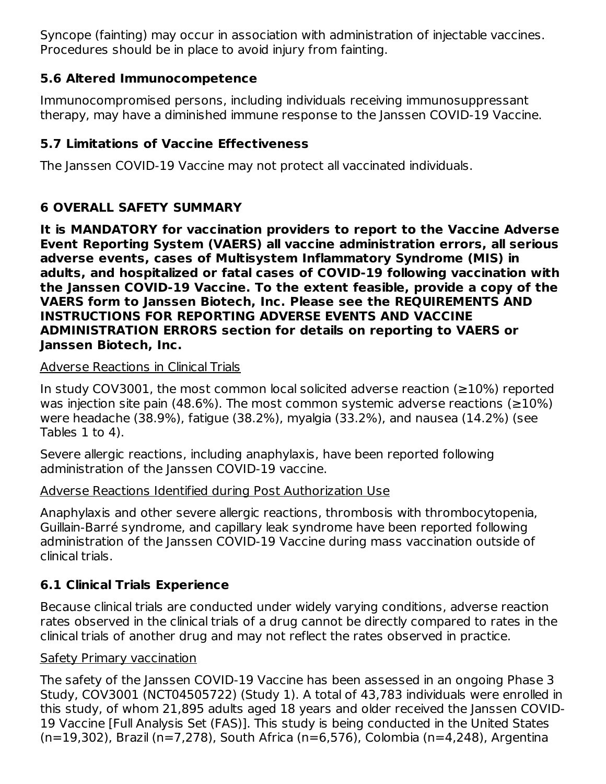Syncope (fainting) may occur in association with administration of injectable vaccines. Procedures should be in place to avoid injury from fainting.

### **5.6 Altered Immunocompetence**

Immunocompromised persons, including individuals receiving immunosuppressant therapy, may have a diminished immune response to the Janssen COVID-19 Vaccine.

# **5.7 Limitations of Vaccine Effectiveness**

The Janssen COVID-19 Vaccine may not protect all vaccinated individuals.

# **6 OVERALL SAFETY SUMMARY**

**It is MANDATORY for vaccination providers to report to the Vaccine Adverse Event Reporting System (VAERS) all vaccine administration errors, all serious adverse events, cases of Multisystem Inflammatory Syndrome (MIS) in adults, and hospitalized or fatal cases of COVID-19 following vaccination with the Janssen COVID-19 Vaccine. To the extent feasible, provide a copy of the VAERS form to Janssen Biotech, Inc. Please see the REQUIREMENTS AND INSTRUCTIONS FOR REPORTING ADVERSE EVENTS AND VACCINE ADMINISTRATION ERRORS section for details on reporting to VAERS or Janssen Biotech, Inc.**

### Adverse Reactions in Clinical Trials

In study COV3001, the most common local solicited adverse reaction (≥10%) reported was injection site pain (48.6%). The most common systemic adverse reactions ( $\geq$ 10%) were headache (38.9%), fatigue (38.2%), myalgia (33.2%), and nausea (14.2%) (see Tables 1 to 4).

Severe allergic reactions, including anaphylaxis, have been reported following administration of the Janssen COVID-19 vaccine.

### Adverse Reactions Identified during Post Authorization Use

Anaphylaxis and other severe allergic reactions, thrombosis with thrombocytopenia, Guillain-Barré syndrome, and capillary leak syndrome have been reported following administration of the Janssen COVID-19 Vaccine during mass vaccination outside of clinical trials.

# **6.1 Clinical Trials Experience**

Because clinical trials are conducted under widely varying conditions, adverse reaction rates observed in the clinical trials of a drug cannot be directly compared to rates in the clinical trials of another drug and may not reflect the rates observed in practice.

### Safety Primary vaccination

The safety of the Janssen COVID-19 Vaccine has been assessed in an ongoing Phase 3 Study, COV3001 (NCT04505722) (Study 1). A total of 43,783 individuals were enrolled in this study, of whom 21,895 adults aged 18 years and older received the Janssen COVID-19 Vaccine [Full Analysis Set (FAS)]. This study is being conducted in the United States (n=19,302), Brazil (n=7,278), South Africa (n=6,576), Colombia (n=4,248), Argentina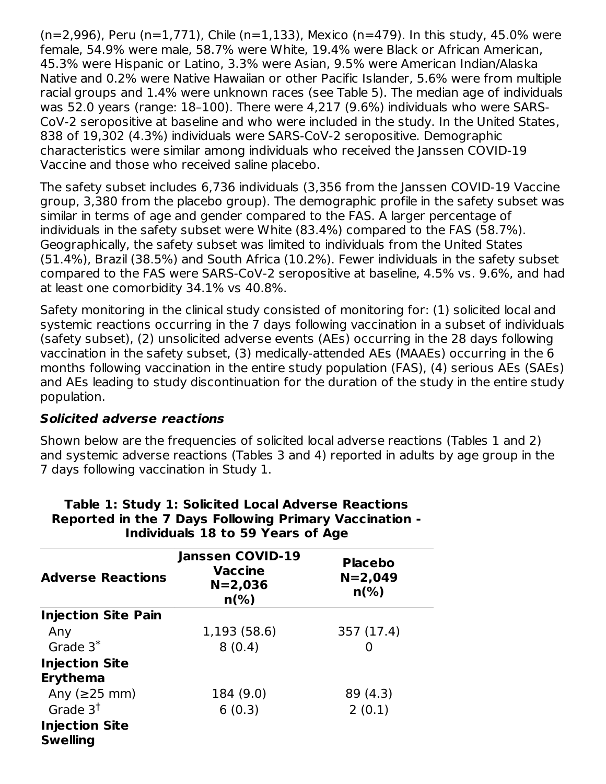$(n=2,996)$ , Peru (n=1,771), Chile (n=1,133), Mexico (n=479). In this study, 45.0% were female, 54.9% were male, 58.7% were White, 19.4% were Black or African American, 45.3% were Hispanic or Latino, 3.3% were Asian, 9.5% were American Indian/Alaska Native and 0.2% were Native Hawaiian or other Pacific Islander, 5.6% were from multiple racial groups and 1.4% were unknown races (see Table 5). The median age of individuals was 52.0 years (range: 18–100). There were 4,217 (9.6%) individuals who were SARS-CoV-2 seropositive at baseline and who were included in the study. In the United States, 838 of 19,302 (4.3%) individuals were SARS-CoV-2 seropositive. Demographic characteristics were similar among individuals who received the Janssen COVID-19 Vaccine and those who received saline placebo.

The safety subset includes 6,736 individuals (3,356 from the Janssen COVID-19 Vaccine group, 3,380 from the placebo group). The demographic profile in the safety subset was similar in terms of age and gender compared to the FAS. A larger percentage of individuals in the safety subset were White (83.4%) compared to the FAS (58.7%). Geographically, the safety subset was limited to individuals from the United States (51.4%), Brazil (38.5%) and South Africa (10.2%). Fewer individuals in the safety subset compared to the FAS were SARS-CoV-2 seropositive at baseline, 4.5% vs. 9.6%, and had at least one comorbidity 34.1% vs 40.8%.

Safety monitoring in the clinical study consisted of monitoring for: (1) solicited local and systemic reactions occurring in the 7 days following vaccination in a subset of individuals (safety subset), (2) unsolicited adverse events (AEs) occurring in the 28 days following vaccination in the safety subset, (3) medically-attended AEs (MAAEs) occurring in the 6 months following vaccination in the entire study population (FAS), (4) serious AEs (SAEs) and AEs leading to study discontinuation for the duration of the study in the entire study population.

### **Solicited adverse reactions**

Shown below are the frequencies of solicited local adverse reactions (Tables 1 and 2) and systemic adverse reactions (Tables 3 and 4) reported in adults by age group in the 7 days following vaccination in Study 1.

| <b>Adverse Reactions</b>                 | Janssen COVID-19<br><b>Vaccine</b><br>$N = 2,036$<br>$n\frac{6}{6}$ | <b>Placebo</b><br>$N = 2,049$<br>$n\frac{6}{6}$ |  |
|------------------------------------------|---------------------------------------------------------------------|-------------------------------------------------|--|
| <b>Injection Site Pain</b>               |                                                                     |                                                 |  |
| Any                                      | 1,193 (58.6)                                                        | 357 (17.4)                                      |  |
| Grade $3^*$                              | 8(0.4)                                                              |                                                 |  |
| <b>Injection Site</b><br><b>Erythema</b> |                                                                     |                                                 |  |
| Any $(\geq 25$ mm)                       | 184 (9.0)                                                           | 89 (4.3)                                        |  |
| Grade $3†$                               | 6(0.3)                                                              | 2(0.1)                                          |  |
| <b>Injection Site</b><br><b>Swelling</b> |                                                                     |                                                 |  |

#### **Table 1: Study 1: Solicited Local Adverse Reactions Reported in the 7 Days Following Primary Vaccination - Individuals 18 to 59 Years of Age**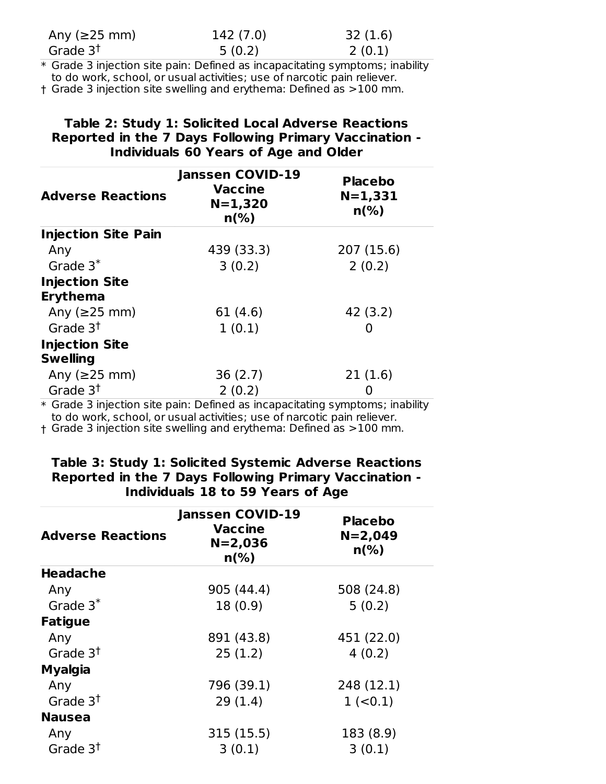| Any $(\geq 25$ mm)   | 142 (7.0) | 32(1.6) |
|----------------------|-----------|---------|
| Grade 3 <sup>†</sup> | 5(0.2)    | 2(0.1)  |

\* Grade 3 injection site pain: Defined as incapacitating symptoms; inability to do work, school, or usual activities; use of narcotic pain reliever.

† Grade 3 injection site swelling and erythema: Defined as >100 mm.

### **Table 2: Study 1: Solicited Local Adverse Reactions Reported in the 7 Days Following Primary Vaccination - Individuals 60 Years of Age and Older**

| <b>Adverse Reactions</b>   | <b>Janssen COVID-19</b><br><b>Vaccine</b><br>$N = 1,320$<br>$n\frac{6}{6}$ | <b>Placebo</b><br>$N = 1,331$<br>$n\frac{6}{6}$ |
|----------------------------|----------------------------------------------------------------------------|-------------------------------------------------|
| <b>Injection Site Pain</b> |                                                                            |                                                 |
| Any                        | 439 (33.3)                                                                 | 207 (15.6)                                      |
| Grade $3^*$                | 3(0.2)                                                                     | 2(0.2)                                          |
| <b>Injection Site</b>      |                                                                            |                                                 |
| <b>Erythema</b>            |                                                                            |                                                 |
| Any ( $\geq$ 25 mm)        | 61 (4.6)                                                                   | 42 (3.2)                                        |
| Grade $3†$                 | 1(0.1)                                                                     | O                                               |
| <b>Injection Site</b>      |                                                                            |                                                 |
| <b>Swelling</b>            |                                                                            |                                                 |
| Any ( $\geq$ 25 mm)        | 36(2.7)                                                                    | 21(1.6)                                         |
| Grade $3†$                 | 2(0.2)                                                                     |                                                 |

\* Grade 3 injection site pain: Defined as incapacitating symptoms; inability to do work, school, or usual activities; use of narcotic pain reliever.

† Grade 3 injection site swelling and erythema: Defined as >100 mm.

#### **Adverse Reactions Janssen COVID-19 Vaccine N=2,036 n(%) Placebo N=2,049 n(%) Headache** Any 905 (44.4) 508 (24.8)  $18 (0.9)$  5 (0.2) **Fatigue** Any 891 (43.8) 451 (22.0)  $25 (1.2)$  4 (0.2) **Myalgia** Any 796 (39.1) 248 (12.1)  $29(1.4)$  1 (<0.1) **Nausea** Any 315 (15.5) 183 (8.9)  $3(0.1)$  3 (0.1) Grade  $3^*$ Grade  $3<sup>†</sup>$ Grade  $3<sup>†</sup>$ Grade  $3<sup>†</sup>$

### **Table 3: Study 1: Solicited Systemic Adverse Reactions Reported in the 7 Days Following Primary Vaccination - Individuals 18 to 59 Years of Age**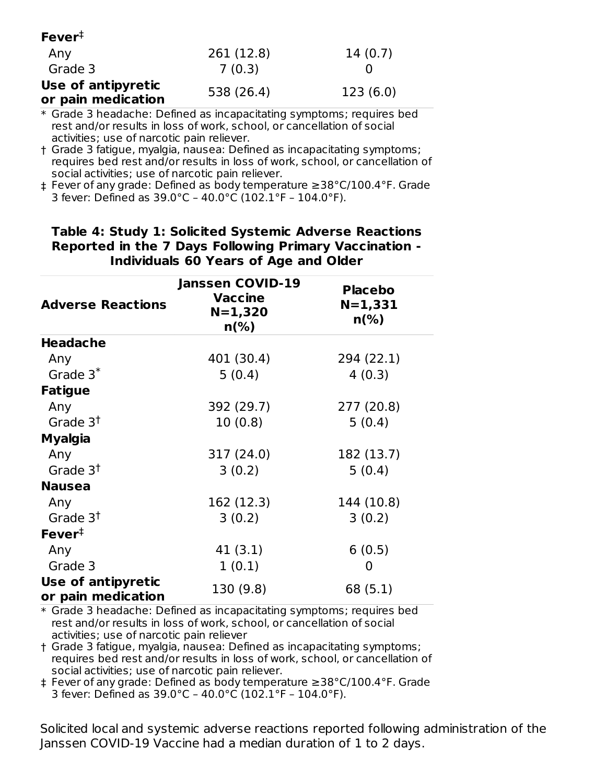| $Fever^{\ddagger}$                       |            |          |
|------------------------------------------|------------|----------|
| Any                                      | 261 (12.8) | 14(0.7)  |
| Grade 3                                  | 7(0.3)     |          |
| Use of antipyretic<br>or pain medication | 538 (26.4) | 123(6.0) |

\* Grade 3 headache: Defined as incapacitating symptoms; requires bed rest and/or results in loss of work, school, or cancellation of social activities; use of narcotic pain reliever.

† Grade 3 fatigue, myalgia, nausea: Defined as incapacitating symptoms; requires bed rest and/or results in loss of work, school, or cancellation of social activities; use of narcotic pain reliever.

‡ Fever of any grade: Defined as body temperature ≥38°C/100.4°F. Grade 3 fever: Defined as 39.0°C – 40.0°C (102.1°F – 104.0°F).

| <b>Adverse Reactions</b>                 | <b>Janssen COVID-19</b><br><b>Vaccine</b><br>$N = 1,320$<br>$n\frac{6}{6}$ | <b>Placebo</b><br>$N = 1,331$<br>$n\frac{6}{6}$ |
|------------------------------------------|----------------------------------------------------------------------------|-------------------------------------------------|
| <b>Headache</b>                          |                                                                            |                                                 |
| Any                                      | 401 (30.4)                                                                 | 294 (22.1)                                      |
| Grade $3^*$                              | 5(0.4)                                                                     | 4(0.3)                                          |
| <b>Fatigue</b>                           |                                                                            |                                                 |
| Any                                      | 392 (29.7)                                                                 | 277 (20.8)                                      |
| Grade $3†$                               | 10(0.8)                                                                    | 5(0.4)                                          |
| Myalgia                                  |                                                                            |                                                 |
| Any                                      | 317 (24.0)                                                                 | 182 (13.7)                                      |
| Grade $3†$                               | 3(0.2)                                                                     | 5(0.4)                                          |
| <b>Nausea</b>                            |                                                                            |                                                 |
| Any                                      | 162 (12.3)                                                                 | 144 (10.8)                                      |
| Grade $3†$                               | 3(0.2)                                                                     | 3(0.2)                                          |
| Fever $\ddagger$                         |                                                                            |                                                 |
| Any                                      | 41 (3.1)                                                                   | 6(0.5)                                          |
| Grade 3                                  | 1(0.1)                                                                     | 0                                               |
| Use of antipyretic<br>or pain medication | 130 (9.8)                                                                  | 68 (5.1)                                        |

**Table 4: Study 1: Solicited Systemic Adverse Reactions Reported in the 7 Days Following Primary Vaccination - Individuals 60 Years of Age and Older**

\* Grade 3 headache: Defined as incapacitating symptoms; requires bed rest and/or results in loss of work, school, or cancellation of social activities; use of narcotic pain reliever

† Grade 3 fatigue, myalgia, nausea: Defined as incapacitating symptoms; requires bed rest and/or results in loss of work, school, or cancellation of social activities; use of narcotic pain reliever.

‡ Fever of any grade: Defined as body temperature ≥38°C/100.4°F. Grade 3 fever: Defined as 39.0°C – 40.0°C (102.1°F – 104.0°F).

Solicited local and systemic adverse reactions reported following administration of the Janssen COVID-19 Vaccine had a median duration of 1 to 2 days.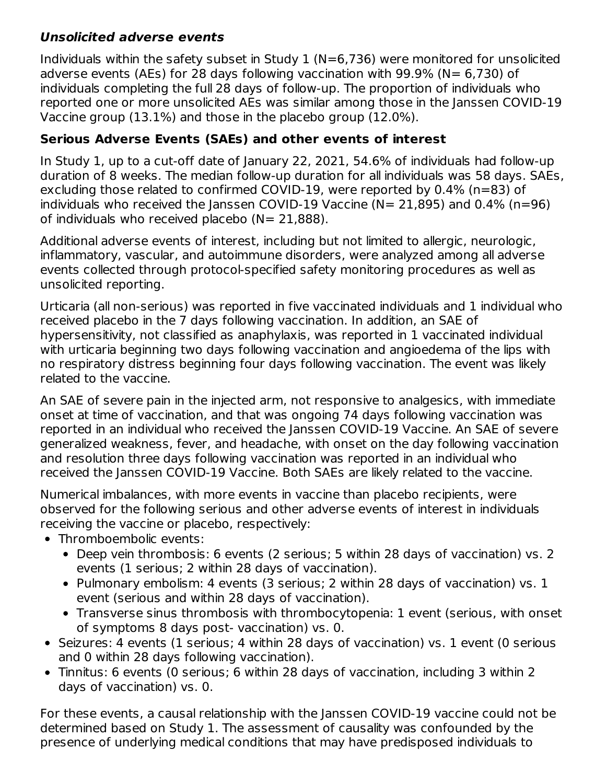# **Unsolicited adverse events**

Individuals within the safety subset in Study  $1$  (N=6,736) were monitored for unsolicited adverse events (AEs) for 28 days following vaccination with  $99.9\%$  (N= 6,730) of individuals completing the full 28 days of follow-up. The proportion of individuals who reported one or more unsolicited AEs was similar among those in the Janssen COVID-19 Vaccine group (13.1%) and those in the placebo group (12.0%).

# **Serious Adverse Events (SAEs) and other events of interest**

In Study 1, up to a cut-off date of January 22, 2021, 54.6% of individuals had follow-up duration of 8 weeks. The median follow-up duration for all individuals was 58 days. SAEs, excluding those related to confirmed COVID-19, were reported by 0.4% (n=83) of individuals who received the Janssen COVID-19 Vaccine ( $N = 21,895$ ) and 0.4% (n=96) of individuals who received placebo ( $N = 21,888$ ).

Additional adverse events of interest, including but not limited to allergic, neurologic, inflammatory, vascular, and autoimmune disorders, were analyzed among all adverse events collected through protocol-specified safety monitoring procedures as well as unsolicited reporting.

Urticaria (all non-serious) was reported in five vaccinated individuals and 1 individual who received placebo in the 7 days following vaccination. In addition, an SAE of hypersensitivity, not classified as anaphylaxis, was reported in 1 vaccinated individual with urticaria beginning two days following vaccination and angioedema of the lips with no respiratory distress beginning four days following vaccination. The event was likely related to the vaccine.

An SAE of severe pain in the injected arm, not responsive to analgesics, with immediate onset at time of vaccination, and that was ongoing 74 days following vaccination was reported in an individual who received the Janssen COVID-19 Vaccine. An SAE of severe generalized weakness, fever, and headache, with onset on the day following vaccination and resolution three days following vaccination was reported in an individual who received the Janssen COVID-19 Vaccine. Both SAEs are likely related to the vaccine.

Numerical imbalances, with more events in vaccine than placebo recipients, were observed for the following serious and other adverse events of interest in individuals receiving the vaccine or placebo, respectively:

- Thromboembolic events:
	- Deep vein thrombosis: 6 events (2 serious; 5 within 28 days of vaccination) vs. 2 events (1 serious; 2 within 28 days of vaccination).
	- Pulmonary embolism: 4 events (3 serious; 2 within 28 days of vaccination) vs. 1 event (serious and within 28 days of vaccination).
	- Transverse sinus thrombosis with thrombocytopenia: 1 event (serious, with onset of symptoms 8 days post- vaccination) vs. 0.
- Seizures: 4 events (1 serious; 4 within 28 days of vaccination) vs. 1 event (0 serious and 0 within 28 days following vaccination).
- Tinnitus: 6 events (0 serious; 6 within 28 days of vaccination, including 3 within 2 days of vaccination) vs. 0.

For these events, a causal relationship with the Janssen COVID-19 vaccine could not be determined based on Study 1. The assessment of causality was confounded by the presence of underlying medical conditions that may have predisposed individuals to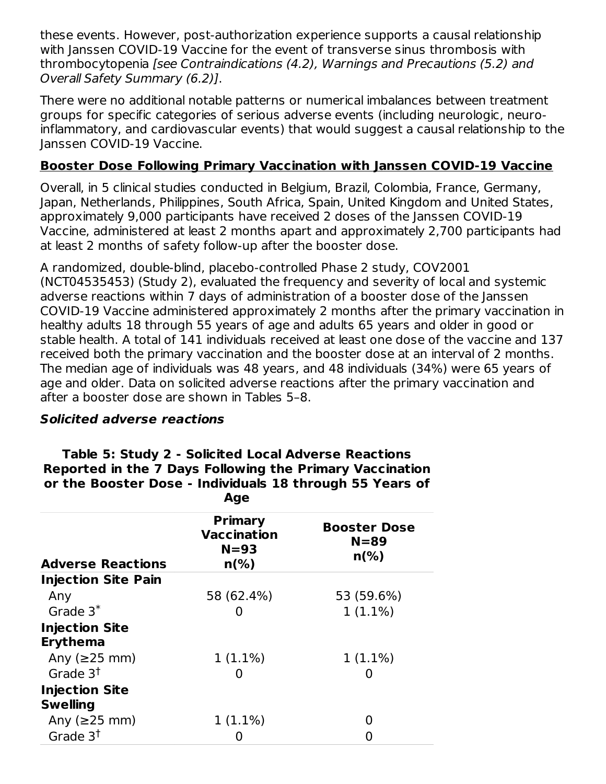these events. However, post-authorization experience supports a causal relationship with Janssen COVID-19 Vaccine for the event of transverse sinus thrombosis with thrombocytopenia [see Contraindications (4.2), Warnings and Precautions (5.2) and Overall Safety Summary (6.2)].

There were no additional notable patterns or numerical imbalances between treatment groups for specific categories of serious adverse events (including neurologic, neuroinflammatory, and cardiovascular events) that would suggest a causal relationship to the Janssen COVID-19 Vaccine.

### **Booster Dose Following Primary Vaccination with Janssen COVID-19 Vaccine**

Overall, in 5 clinical studies conducted in Belgium, Brazil, Colombia, France, Germany, Japan, Netherlands, Philippines, South Africa, Spain, United Kingdom and United States, approximately 9,000 participants have received 2 doses of the Janssen COVID-19 Vaccine, administered at least 2 months apart and approximately 2,700 participants had at least 2 months of safety follow-up after the booster dose.

A randomized, double-blind, placebo-controlled Phase 2 study, COV2001 (NCT04535453) (Study 2), evaluated the frequency and severity of local and systemic adverse reactions within 7 days of administration of a booster dose of the Janssen COVID-19 Vaccine administered approximately 2 months after the primary vaccination in healthy adults 18 through 55 years of age and adults 65 years and older in good or stable health. A total of 141 individuals received at least one dose of the vaccine and 137 received both the primary vaccination and the booster dose at an interval of 2 months. The median age of individuals was 48 years, and 48 individuals (34%) were 65 years of age and older. Data on solicited adverse reactions after the primary vaccination and after a booster dose are shown in Tables 5–8.

### **Solicited adverse reactions**

### **Table 5: Study 2 - Solicited Local Adverse Reactions Reported in the 7 Days Following the Primary Vaccination or the Booster Dose - Individuals 18 through 55 Years of**

| Age                                      |                                                                    |                                                   |
|------------------------------------------|--------------------------------------------------------------------|---------------------------------------------------|
| <b>Adverse Reactions</b>                 | <b>Primary</b><br><b>Vaccination</b><br>$N = 93$<br>$n\frac{6}{6}$ | <b>Booster Dose</b><br>$N = 89$<br>$n\frac{6}{6}$ |
| <b>Injection Site Pain</b>               |                                                                    |                                                   |
| Any                                      | 58 (62.4%)                                                         | 53 (59.6%)                                        |
| Grade $3^*$                              |                                                                    | $1(1.1\%)$                                        |
| <b>Injection Site</b><br><b>Erythema</b> |                                                                    |                                                   |
| Any ( $\geq$ 25 mm)                      | $1(1.1\%)$                                                         | $1(1.1\%)$                                        |
| Grade $3†$                               | O                                                                  | 0                                                 |
| <b>Injection Site</b>                    |                                                                    |                                                   |
| <b>Swelling</b>                          |                                                                    |                                                   |
| Any ( $\geq$ 25 mm)                      | $1(1.1\%)$                                                         | 0                                                 |
| Grade 3 <sup>t</sup>                     |                                                                    |                                                   |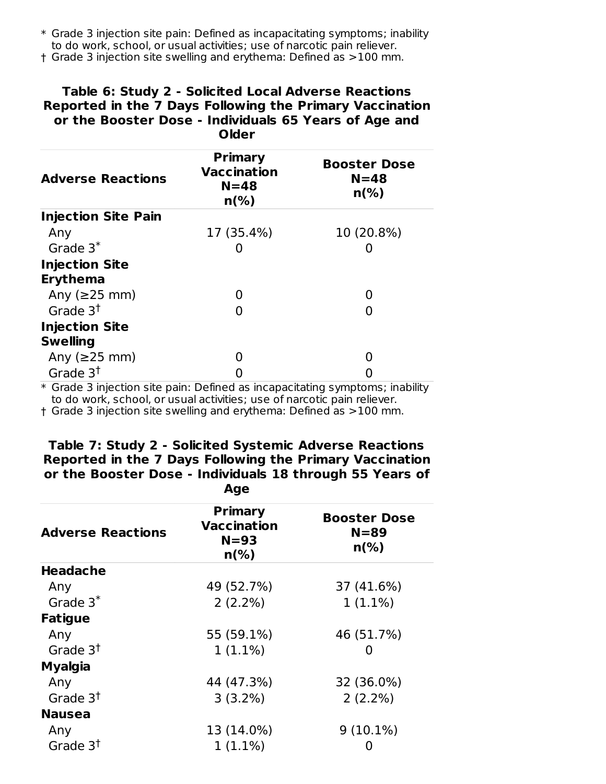\* Grade 3 injection site pain: Defined as incapacitating symptoms; inability to do work, school, or usual activities; use of narcotic pain reliever.

† Grade 3 injection site swelling and erythema: Defined as >100 mm.

#### **Table 6: Study 2 - Solicited Local Adverse Reactions Reported in the 7 Days Following the Primary Vaccination or the Booster Dose - Individuals 65 Years of Age and Older**

| <b>Adverse Reactions</b>   | <b>Primary</b><br><b>Vaccination</b><br>$N = 48$<br>$n\frac{6}{6}$ | <b>Booster Dose</b><br>$N = 48$<br>$n\frac{6}{6}$ |
|----------------------------|--------------------------------------------------------------------|---------------------------------------------------|
| <b>Injection Site Pain</b> |                                                                    |                                                   |
| Any                        | 17 (35.4%)                                                         | 10 (20.8%)                                        |
| Grade $3^*$                |                                                                    |                                                   |
| <b>Injection Site</b>      |                                                                    |                                                   |
| <b>Erythema</b>            |                                                                    |                                                   |
| Any ( $\geq$ 25 mm)        | O                                                                  | O                                                 |
| Grade $3†$                 |                                                                    | O                                                 |
| <b>Injection Site</b>      |                                                                    |                                                   |
| <b>Swelling</b>            |                                                                    |                                                   |
| Any $(\geq 25$ mm)         |                                                                    | O                                                 |
| Grade $3†$                 |                                                                    |                                                   |

\* Grade 3 injection site pain: Defined as incapacitating symptoms; inability to do work, school, or usual activities; use of narcotic pain reliever.

† Grade 3 injection site swelling and erythema: Defined as >100 mm.

#### **Table 7: Study 2 - Solicited Systemic Adverse Reactions Reported in the 7 Days Following the Primary Vaccination or the Booster Dose - Individuals 18 through 55 Years of Age**

| <b>Adverse Reactions</b> | <b>Primary</b><br><b>Vaccination</b><br>$N = 93$<br>$n\frac{6}{6}$ | <b>Booster Dose</b><br>$N = 89$<br>$n\frac{6}{6}$ |
|--------------------------|--------------------------------------------------------------------|---------------------------------------------------|
| <b>Headache</b>          |                                                                    |                                                   |
| Any                      | 49 (52.7%)                                                         | 37 (41.6%)                                        |
| Grade $3^*$              | $2(2.2\%)$                                                         | $1(1.1\%)$                                        |
| <b>Fatigue</b>           |                                                                    |                                                   |
| Any                      | 55 (59.1%)                                                         | 46 (51.7%)                                        |
| Grade $3†$               | $1(1.1\%)$                                                         | 0                                                 |
| <b>Myalgia</b>           |                                                                    |                                                   |
| Any                      | 44 (47.3%)                                                         | 32 (36.0%)                                        |
| Grade $3†$               | $3(3.2\%)$                                                         | $2(2.2\%)$                                        |
| Nausea                   |                                                                    |                                                   |
| Any                      | 13 (14.0%)                                                         | $9(10.1\%)$                                       |
| Grade $3†$               | $1(1.1\%)$                                                         |                                                   |

‡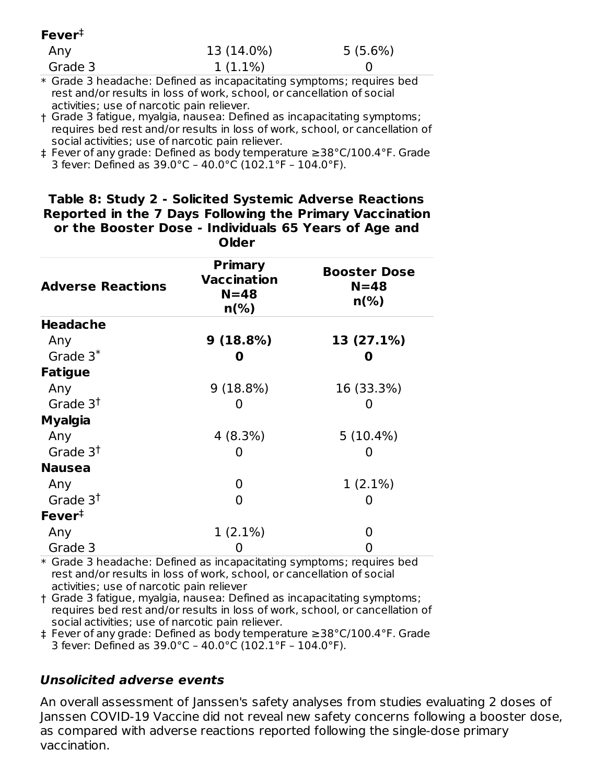### \* Grade 3 headache: Defined as incapacitating symptoms; requires bed **Fever** ‡ Any 13 (14.0%) 5 (5.6%) Grade 3 1 (1.1%) 0

rest and/or results in loss of work, school, or cancellation of social activities; use of narcotic pain reliever.

† Grade 3 fatigue, myalgia, nausea: Defined as incapacitating symptoms; requires bed rest and/or results in loss of work, school, or cancellation of social activities; use of narcotic pain reliever.

‡ Fever of any grade: Defined as body temperature ≥38°C/100.4°F. Grade 3 fever: Defined as 39.0°C – 40.0°C (102.1°F – 104.0°F).

#### **Table 8: Study 2 - Solicited Systemic Adverse Reactions Reported in the 7 Days Following the Primary Vaccination or the Booster Dose - Individuals 65 Years of Age and Older**

| <b>Adverse Reactions</b> | <b>Primary</b><br>Vaccination<br>$N = 48$<br>$n\frac{6}{6}$ | <b>Booster Dose</b><br>$N = 48$<br>$n\frac{6}{6}$ |
|--------------------------|-------------------------------------------------------------|---------------------------------------------------|
| <b>Headache</b>          |                                                             |                                                   |
| Any                      | $9(18.8\%)$                                                 | 13 (27.1%)                                        |
| Grade $3^*$              | O                                                           | O                                                 |
| <b>Fatigue</b>           |                                                             |                                                   |
| Any                      | $9(18.8\%)$                                                 | 16 (33.3%)                                        |
| Grade $3†$               | O                                                           |                                                   |
| <b>Myalgia</b>           |                                                             |                                                   |
| Any                      | 4(8.3%)                                                     | $5(10.4\%)$                                       |
| Grade $3†$               | O                                                           | 0                                                 |
| <b>Nausea</b>            |                                                             |                                                   |
| Any                      | 0                                                           | $1(2.1\%)$                                        |
| Grade 3 <sup>t</sup>     | 0                                                           | 0                                                 |
| $Fever^+$                |                                                             |                                                   |
| Any                      | $1(2.1\%)$                                                  | 0                                                 |
| Grade 3                  | O                                                           | 0                                                 |

\* Grade 3 headache: Defined as incapacitating symptoms; requires bed rest and/or results in loss of work, school, or cancellation of social activities; use of narcotic pain reliever

† Grade 3 fatigue, myalgia, nausea: Defined as incapacitating symptoms; requires bed rest and/or results in loss of work, school, or cancellation of social activities; use of narcotic pain reliever.

‡ Fever of any grade: Defined as body temperature ≥38°C/100.4°F. Grade 3 fever: Defined as 39.0°C – 40.0°C (102.1°F – 104.0°F).

### **Unsolicited adverse events**

An overall assessment of Janssen's safety analyses from studies evaluating 2 doses of Janssen COVID-19 Vaccine did not reveal new safety concerns following a booster dose, as compared with adverse reactions reported following the single-dose primary vaccination.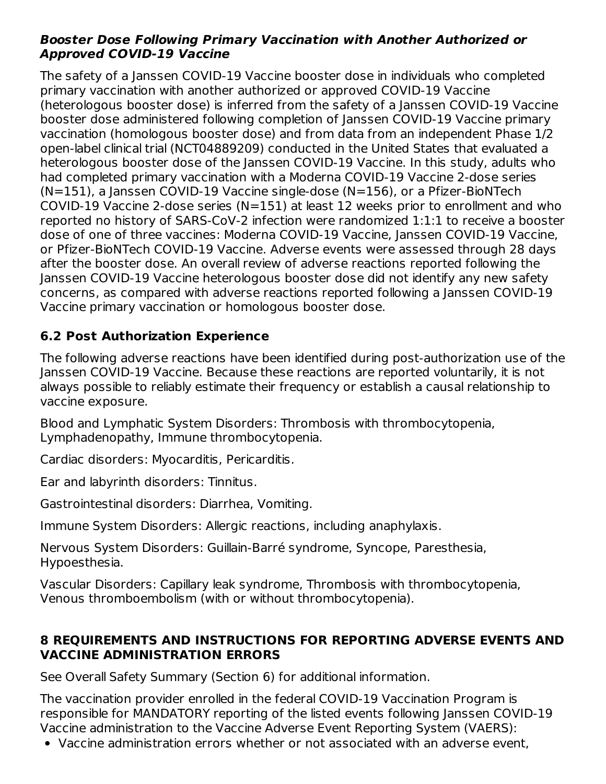### **Booster Dose Following Primary Vaccination with Another Authorized or Approved COVID-19 Vaccine**

The safety of a Janssen COVID-19 Vaccine booster dose in individuals who completed primary vaccination with another authorized or approved COVID-19 Vaccine (heterologous booster dose) is inferred from the safety of a Janssen COVID-19 Vaccine booster dose administered following completion of Janssen COVID-19 Vaccine primary vaccination (homologous booster dose) and from data from an independent Phase 1/2 open-label clinical trial (NCT04889209) conducted in the United States that evaluated a heterologous booster dose of the Janssen COVID-19 Vaccine. In this study, adults who had completed primary vaccination with a Moderna COVID-19 Vaccine 2-dose series (N=151), a Janssen COVID-19 Vaccine single-dose (N=156), or a Pfizer-BioNTech COVID-19 Vaccine 2-dose series (N=151) at least 12 weeks prior to enrollment and who reported no history of SARS-CoV-2 infection were randomized 1:1:1 to receive a booster dose of one of three vaccines: Moderna COVID-19 Vaccine, Janssen COVID-19 Vaccine, or Pfizer-BioNTech COVID-19 Vaccine. Adverse events were assessed through 28 days after the booster dose. An overall review of adverse reactions reported following the Janssen COVID-19 Vaccine heterologous booster dose did not identify any new safety concerns, as compared with adverse reactions reported following a Janssen COVID-19 Vaccine primary vaccination or homologous booster dose.

# **6.2 Post Authorization Experience**

The following adverse reactions have been identified during post-authorization use of the Janssen COVID-19 Vaccine. Because these reactions are reported voluntarily, it is not always possible to reliably estimate their frequency or establish a causal relationship to vaccine exposure.

Blood and Lymphatic System Disorders: Thrombosis with thrombocytopenia, Lymphadenopathy, Immune thrombocytopenia.

Cardiac disorders: Myocarditis, Pericarditis.

Ear and labyrinth disorders: Tinnitus.

Gastrointestinal disorders: Diarrhea, Vomiting.

Immune System Disorders: Allergic reactions, including anaphylaxis.

Nervous System Disorders: Guillain-Barré syndrome, Syncope, Paresthesia, Hypoesthesia.

Vascular Disorders: Capillary leak syndrome, Thrombosis with thrombocytopenia, Venous thromboembolism (with or without thrombocytopenia).

### **8 REQUIREMENTS AND INSTRUCTIONS FOR REPORTING ADVERSE EVENTS AND VACCINE ADMINISTRATION ERRORS**

See Overall Safety Summary (Section 6) for additional information.

The vaccination provider enrolled in the federal COVID-19 Vaccination Program is responsible for MANDATORY reporting of the listed events following Janssen COVID-19 Vaccine administration to the Vaccine Adverse Event Reporting System (VAERS):

Vaccine administration errors whether or not associated with an adverse event,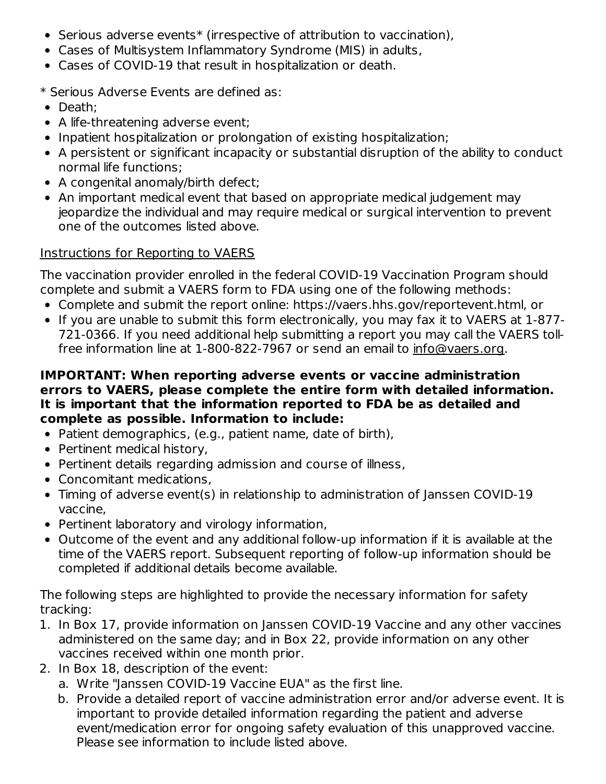- Serious adverse events\* (irrespective of attribution to vaccination),
- Cases of Multisystem Inflammatory Syndrome (MIS) in adults,
- Cases of COVID-19 that result in hospitalization or death.

\* Serious Adverse Events are defined as:

- Death:
- A life-threatening adverse event;
- Inpatient hospitalization or prolongation of existing hospitalization;
- A persistent or significant incapacity or substantial disruption of the ability to conduct normal life functions;
- A congenital anomaly/birth defect;
- An important medical event that based on appropriate medical judgement may jeopardize the individual and may require medical or surgical intervention to prevent one of the outcomes listed above.

# Instructions for Reporting to VAERS

The vaccination provider enrolled in the federal COVID-19 Vaccination Program should complete and submit a VAERS form to FDA using one of the following methods:

- Complete and submit the report online: https://vaers.hhs.gov/reportevent.html, or
- If you are unable to submit this form electronically, you may fax it to VAERS at 1-877-721-0366. If you need additional help submitting a report you may call the VAERS tollfree information line at 1-800-822-7967 or send an email to info@vaers.org.

### **IMPORTANT: When reporting adverse events or vaccine administration errors to VAERS, please complete the entire form with detailed information. It is important that the information reported to FDA be as detailed and complete as possible. Information to include:**

- Patient demographics, (e.g., patient name, date of birth),
- Pertinent medical history,
- Pertinent details regarding admission and course of illness,
- Concomitant medications,
- Timing of adverse event(s) in relationship to administration of Janssen COVID-19 vaccine,
- Pertinent laboratory and virology information,
- Outcome of the event and any additional follow-up information if it is available at the time of the VAERS report. Subsequent reporting of follow-up information should be completed if additional details become available.

The following steps are highlighted to provide the necessary information for safety tracking:

- 1. In Box 17, provide information on Janssen COVID-19 Vaccine and any other vaccines administered on the same day; and in Box 22, provide information on any other vaccines received within one month prior.
- 2. In Box 18, description of the event:
	- a. Write "Janssen COVID-19 Vaccine EUA" as the first line.
	- b. Provide a detailed report of vaccine administration error and/or adverse event. It is important to provide detailed information regarding the patient and adverse event/medication error for ongoing safety evaluation of this unapproved vaccine. Please see information to include listed above.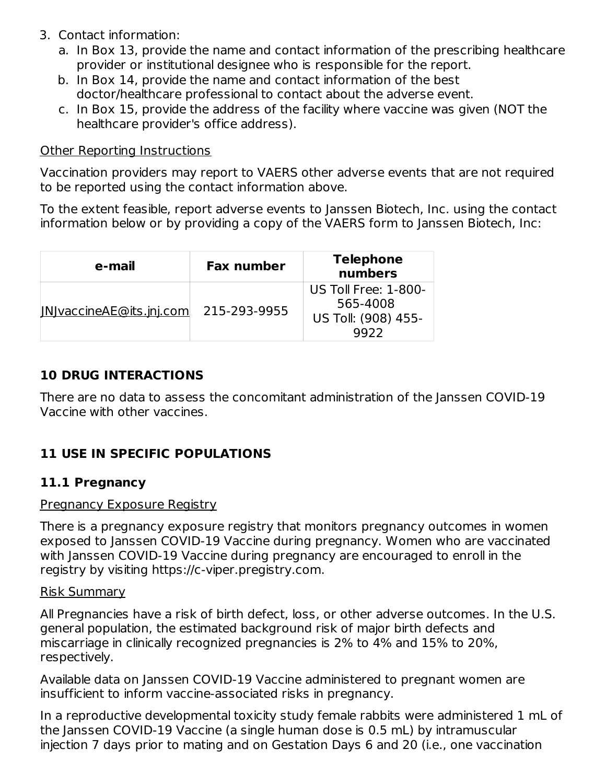- 3. Contact information:
	- a. In Box 13, provide the name and contact information of the prescribing healthcare provider or institutional designee who is responsible for the report.
	- b. In Box 14, provide the name and contact information of the best doctor/healthcare professional to contact about the adverse event.
	- c. In Box 15, provide the address of the facility where vaccine was given (NOT the healthcare provider's office address).

### Other Reporting Instructions

Vaccination providers may report to VAERS other adverse events that are not required to be reported using the contact information above.

To the extent feasible, report adverse events to Janssen Biotech, Inc. using the contact information below or by providing a copy of the VAERS form to Janssen Biotech, Inc:

| e-mail                   | <b>Fax number</b> | <b>Telephone</b><br>numbers                                     |
|--------------------------|-------------------|-----------------------------------------------------------------|
| INJvaccineAE@its.jnj.com | 215-293-9955      | US Toll Free: 1-800-<br>565-4008<br>US Toll: (908) 455-<br>9922 |

### **10 DRUG INTERACTIONS**

There are no data to assess the concomitant administration of the Janssen COVID-19 Vaccine with other vaccines.

# **11 USE IN SPECIFIC POPULATIONS**

### **11.1 Pregnancy**

### Pregnancy Exposure Registry

There is a pregnancy exposure registry that monitors pregnancy outcomes in women exposed to Janssen COVID-19 Vaccine during pregnancy. Women who are vaccinated with Janssen COVID-19 Vaccine during pregnancy are encouraged to enroll in the registry by visiting https://c-viper.pregistry.com.

### Risk Summary

All Pregnancies have a risk of birth defect, loss, or other adverse outcomes. In the U.S. general population, the estimated background risk of major birth defects and miscarriage in clinically recognized pregnancies is 2% to 4% and 15% to 20%, respectively.

Available data on Janssen COVID-19 Vaccine administered to pregnant women are insufficient to inform vaccine-associated risks in pregnancy.

In a reproductive developmental toxicity study female rabbits were administered 1 mL of the Janssen COVID-19 Vaccine (a single human dose is 0.5 mL) by intramuscular injection 7 days prior to mating and on Gestation Days 6 and 20 (i.e., one vaccination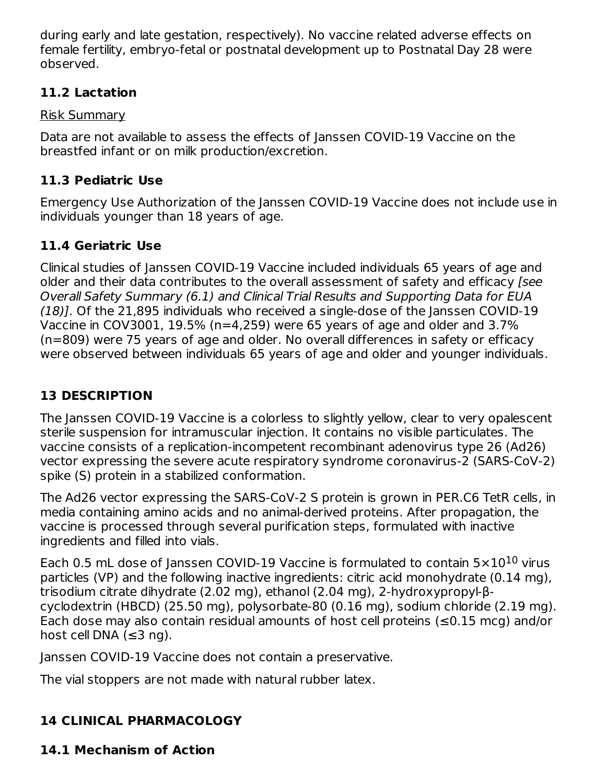during early and late gestation, respectively). No vaccine related adverse effects on female fertility, embryo-fetal or postnatal development up to Postnatal Day 28 were observed.

# **11.2 Lactation**

## Risk Summary

Data are not available to assess the effects of Janssen COVID-19 Vaccine on the breastfed infant or on milk production/excretion.

# **11.3 Pediatric Use**

Emergency Use Authorization of the Janssen COVID-19 Vaccine does not include use in individuals younger than 18 years of age.

# **11.4 Geriatric Use**

Clinical studies of Janssen COVID-19 Vaccine included individuals 65 years of age and older and their data contributes to the overall assessment of safety and efficacy [see Overall Safety Summary (6.1) and Clinical Trial Results and Supporting Data for EUA (18)]. Of the 21,895 individuals who received a single-dose of the Janssen COVID-19 Vaccine in COV3001, 19.5% (n=4,259) were 65 years of age and older and 3.7% (n=809) were 75 years of age and older. No overall differences in safety or efficacy were observed between individuals 65 years of age and older and younger individuals.

# **13 DESCRIPTION**

The Ianssen COVID-19 Vaccine is a colorless to slightly yellow, clear to very opalescent sterile suspension for intramuscular injection. It contains no visible particulates. The vaccine consists of a replication-incompetent recombinant adenovirus type 26 (Ad26) vector expressing the severe acute respiratory syndrome coronavirus-2 (SARS-CoV-2) spike (S) protein in a stabilized conformation.

The Ad26 vector expressing the SARS-CoV-2 S protein is grown in PER.C6 TetR cells, in media containing amino acids and no animal-derived proteins. After propagation, the vaccine is processed through several purification steps, formulated with inactive ingredients and filled into vials.

Each 0.5 mL dose of Janssen COVID-19 Vaccine is formulated to contain 5 $\times 10^{10}$  virus particles (VP) and the following inactive ingredients: citric acid monohydrate (0.14 mg), trisodium citrate dihydrate (2.02 mg), ethanol (2.04 mg), 2-hydroxypropyl-βcyclodextrin (HBCD) (25.50 mg), polysorbate-80 (0.16 mg), sodium chloride (2.19 mg). Each dose may also contain residual amounts of host cell proteins ( $\leq$ 0.15 mcg) and/or host cell DNA  $(\leq 3 \text{ ng})$ .

Janssen COVID-19 Vaccine does not contain a preservative.

The vial stoppers are not made with natural rubber latex.

# **14 CLINICAL PHARMACOLOGY**

**14.1 Mechanism of Action**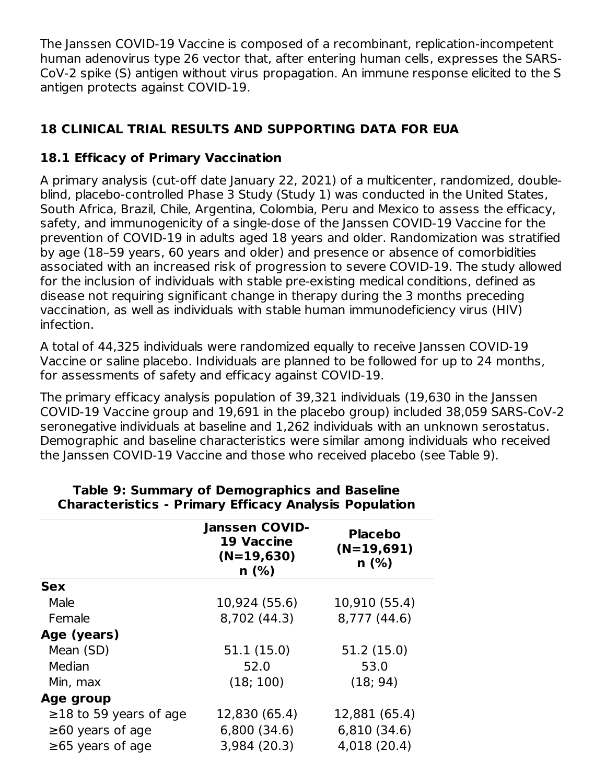The Janssen COVID-19 Vaccine is composed of a recombinant, replication-incompetent human adenovirus type 26 vector that, after entering human cells, expresses the SARS-CoV-2 spike (S) antigen without virus propagation. An immune response elicited to the S antigen protects against COVID-19.

# **18 CLINICAL TRIAL RESULTS AND SUPPORTING DATA FOR EUA**

# **18.1 Efficacy of Primary Vaccination**

A primary analysis (cut-off date January 22, 2021) of a multicenter, randomized, doubleblind, placebo-controlled Phase 3 Study (Study 1) was conducted in the United States, South Africa, Brazil, Chile, Argentina, Colombia, Peru and Mexico to assess the efficacy, safety, and immunogenicity of a single-dose of the Janssen COVID-19 Vaccine for the prevention of COVID-19 in adults aged 18 years and older. Randomization was stratified by age (18–59 years, 60 years and older) and presence or absence of comorbidities associated with an increased risk of progression to severe COVID-19. The study allowed for the inclusion of individuals with stable pre-existing medical conditions, defined as disease not requiring significant change in therapy during the 3 months preceding vaccination, as well as individuals with stable human immunodeficiency virus (HIV) infection.

A total of 44,325 individuals were randomized equally to receive Janssen COVID-19 Vaccine or saline placebo. Individuals are planned to be followed for up to 24 months, for assessments of safety and efficacy against COVID-19.

The primary efficacy analysis population of 39,321 individuals (19,630 in the Janssen COVID-19 Vaccine group and 19,691 in the placebo group) included 38,059 SARS-CoV-2 seronegative individuals at baseline and 1,262 individuals with an unknown serostatus. Demographic and baseline characteristics were similar among individuals who received the Janssen COVID-19 Vaccine and those who received placebo (see Table 9).

|                                                                                  | <b>Janssen COVID-</b><br><b>19 Vaccine</b><br>$(N=19,630)$<br>n(%) | <b>Placebo</b><br>$(N=19,691)$<br>n(%)        |
|----------------------------------------------------------------------------------|--------------------------------------------------------------------|-----------------------------------------------|
| <b>Sex</b>                                                                       |                                                                    |                                               |
| Male                                                                             | 10,924 (55.6)                                                      | 10,910 (55.4)                                 |
| Female                                                                           | 8,702 (44.3)                                                       | 8,777 (44.6)                                  |
| Age (years)                                                                      |                                                                    |                                               |
| Mean (SD)                                                                        | 51.1 (15.0)                                                        | 51.2 (15.0)                                   |
| Median                                                                           | 52.0                                                               | 53.0                                          |
| Min, max                                                                         | (18; 100)                                                          | (18; 94)                                      |
| Age group                                                                        |                                                                    |                                               |
| $\geq$ 18 to 59 years of age<br>$\geq 60$ years of age<br>$\geq 65$ years of age | 12,830 (65.4)<br>6,800(34.6)<br>3,984(20.3)                        | 12,881 (65.4)<br>6,810 (34.6)<br>4,018 (20.4) |

### **Table 9: Summary of Demographics and Baseline Characteristics - Primary Efficacy Analysis Population**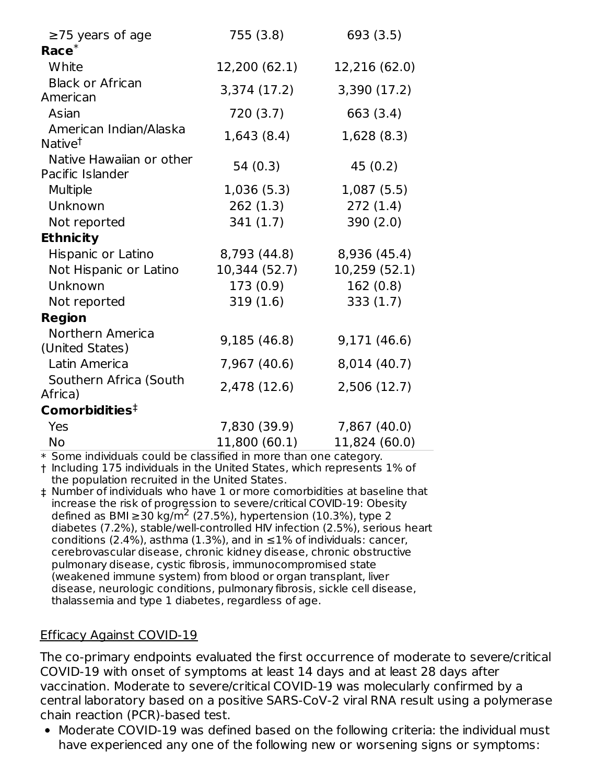| $\geq$ 75 years of age                        | 755 (3.8)     | 693 (3.5)     |
|-----------------------------------------------|---------------|---------------|
| $Race*$                                       |               |               |
| White                                         | 12,200 (62.1) | 12,216 (62.0) |
| <b>Black or African</b>                       | 3,374 (17.2)  | 3,390 (17.2)  |
| American                                      |               |               |
| Asian                                         | 720 (3.7)     | 663 (3.4)     |
| American Indian/Alaska<br>Native <sup>†</sup> | 1,643(8.4)    | 1,628 (8.3)   |
| Native Hawaiian or other                      |               |               |
| Pacific Islander                              | 54(0.3)       | 45(0.2)       |
| <b>Multiple</b>                               | 1,036(5.3)    | 1,087(5.5)    |
| Unknown                                       | 262(1.3)      | 272(1.4)      |
| Not reported                                  | 341 (1.7)     | 390(2.0)      |
| <b>Ethnicity</b>                              |               |               |
| Hispanic or Latino                            | 8,793 (44.8)  | 8,936 (45.4)  |
| Not Hispanic or Latino                        | 10,344 (52.7) | 10,259 (52.1) |
| Unknown                                       | 173(0.9)      | 162(0.8)      |
| Not reported                                  | 319(1.6)      | 333(1.7)      |
| <b>Region</b>                                 |               |               |
| Northern America                              | 9,185 (46.8)  | 9,171 (46.6)  |
| (United States)                               |               |               |
| Latin America                                 | 7,967 (40.6)  | 8,014 (40.7)  |
| Southern Africa (South<br>Africa)             | 2,478 (12.6)  | 2,506 (12.7)  |
| Comorbidities ${}^{\ddagger}$                 |               |               |
| Yes                                           | 7,830 (39.9)  | 7,867 (40.0)  |
| <b>No</b>                                     | 11,800 (60.1) | 11,824 (60.0) |

\* Some individuals could be classified in more than one category.

† Including 175 individuals in the United States, which represents 1% of the population recruited in the United States.

‡ Number of individuals who have 1 or more comorbidities at baseline that increase the risk of progression to severe/critical COVID-19: Obesity defined as BMI ≥30 kg/m<sup>2</sup> (27.5%), hypertension (10.3%), type 2 diabetes (7.2%), stable/well-controlled HIV infection (2.5%), serious heart conditions (2.4%), asthma (1.3%), and in  $\leq$ 1% of individuals: cancer, cerebrovascular disease, chronic kidney disease, chronic obstructive pulmonary disease, cystic fibrosis, immunocompromised state (weakened immune system) from blood or organ transplant, liver disease, neurologic conditions, pulmonary fibrosis, sickle cell disease, thalassemia and type 1 diabetes, regardless of age.

### Efficacy Against COVID-19

The co-primary endpoints evaluated the first occurrence of moderate to severe/critical COVID-19 with onset of symptoms at least 14 days and at least 28 days after vaccination. Moderate to severe/critical COVID-19 was molecularly confirmed by a central laboratory based on a positive SARS-CoV-2 viral RNA result using a polymerase chain reaction (PCR)-based test.

Moderate COVID-19 was defined based on the following criteria: the individual must have experienced any one of the following new or worsening signs or symptoms: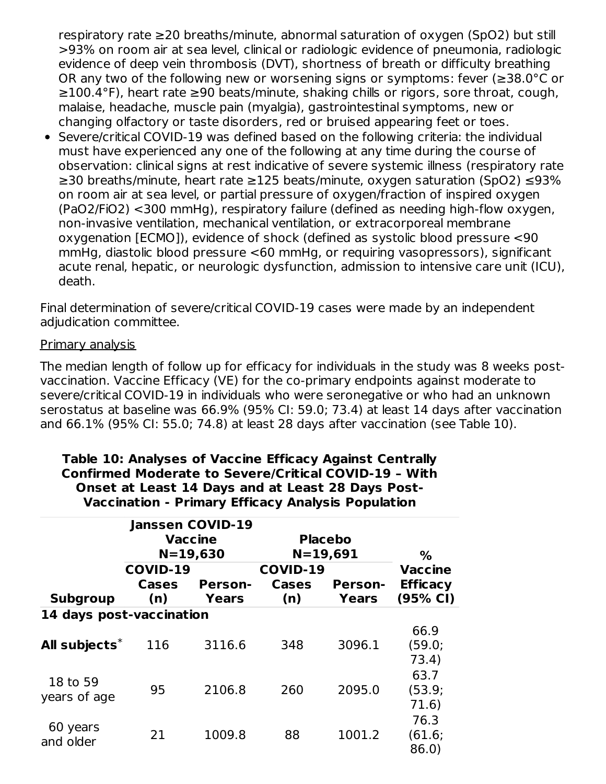respiratory rate ≥20 breaths/minute, abnormal saturation of oxygen (SpO2) but still >93% on room air at sea level, clinical or radiologic evidence of pneumonia, radiologic evidence of deep vein thrombosis (DVT), shortness of breath or difficulty breathing OR any two of the following new or worsening signs or symptoms: fever (≥38.0°C or ≥100.4°F), heart rate ≥90 beats/minute, shaking chills or rigors, sore throat, cough, malaise, headache, muscle pain (myalgia), gastrointestinal symptoms, new or changing olfactory or taste disorders, red or bruised appearing feet or toes.

Severe/critical COVID-19 was defined based on the following criteria: the individual must have experienced any one of the following at any time during the course of observation: clinical signs at rest indicative of severe systemic illness (respiratory rate ≥30 breaths/minute, heart rate ≥125 beats/minute, oxygen saturation (SpO2) ≤93% on room air at sea level, or partial pressure of oxygen/fraction of inspired oxygen (PaO2/FiO2) <300 mmHg), respiratory failure (defined as needing high-flow oxygen, non-invasive ventilation, mechanical ventilation, or extracorporeal membrane oxygenation [ECMO]), evidence of shock (defined as systolic blood pressure <90 mmHg, diastolic blood pressure <60 mmHg, or requiring vasopressors), significant acute renal, hepatic, or neurologic dysfunction, admission to intensive care unit (ICU), death.

Final determination of severe/critical COVID-19 cases were made by an independent adjudication committee.

### Primary analysis

The median length of follow up for efficacy for individuals in the study was 8 weeks postvaccination. Vaccine Efficacy (VE) for the co-primary endpoints against moderate to severe/critical COVID-19 in individuals who were seronegative or who had an unknown serostatus at baseline was 66.9% (95% CI: 59.0; 73.4) at least 14 days after vaccination and 66.1% (95% CI: 55.0; 74.8) at least 28 days after vaccination (see Table 10).

### **Table 10: Analyses of Vaccine Efficacy Against Centrally Confirmed Moderate to Severe/Critical COVID-19 – With Onset at Least 14 Days and at Least 28 Days Post-Vaccination - Primary Efficacy Analysis Population**

|                          | <b>Janssen COVID-19</b><br><b>Vaccine</b><br>$N = 19,630$ |                | <b>Placebo</b><br>$N = 19,691$ | $\%$           |                 |
|--------------------------|-----------------------------------------------------------|----------------|--------------------------------|----------------|-----------------|
|                          | <b>COVID-19</b>                                           |                | <b>COVID-19</b>                |                | <b>Vaccine</b>  |
|                          | Cases                                                     | <b>Person-</b> | <b>Cases</b>                   | <b>Person-</b> | <b>Efficacy</b> |
| <b>Subgroup</b>          | (n)                                                       | Years          | (n)                            | <b>Years</b>   | (95% CI)        |
| 14 days post-vaccination |                                                           |                |                                |                |                 |
|                          |                                                           |                |                                |                | 66.9            |
| All subjects*            | 116                                                       | 3116.6         | 348                            | 3096.1         | (59.0;          |
|                          |                                                           |                |                                |                | 73.4)           |
|                          |                                                           |                |                                |                | 63.7            |
| 18 to 59                 | 95                                                        | 2106.8         | 260                            | 2095.0         | (53.9;          |
| years of age             |                                                           |                |                                |                | 71.6)           |
|                          |                                                           |                |                                |                | 76.3            |
| 60 years<br>and older    | 21                                                        | 1009.8         | 88                             | 1001.2         | (61.6;          |
|                          |                                                           |                |                                |                | 86.0            |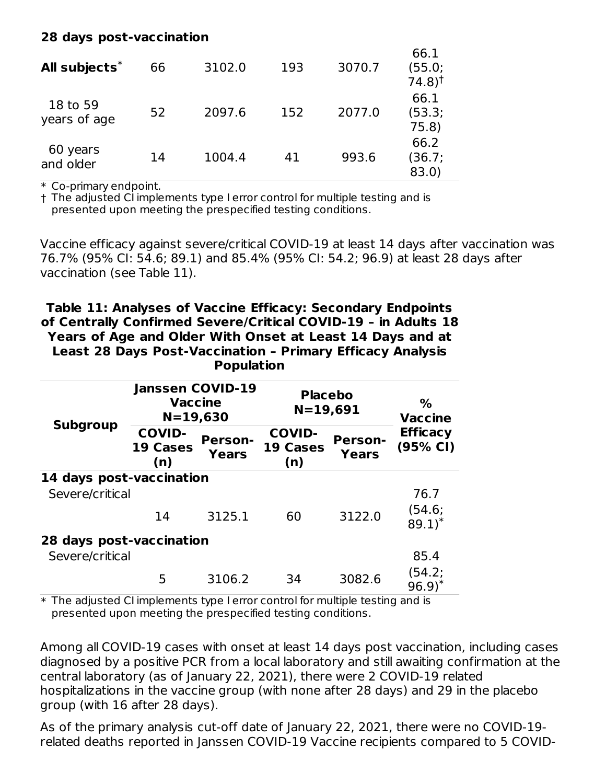### **28 days post-vaccination**

| All subjects <sup>*</sup> | 66 | 3102.0 | 193 | 3070.7 | 66.1<br>(55.0;<br>$74.8$ <sup>†</sup> |
|---------------------------|----|--------|-----|--------|---------------------------------------|
| 18 to 59<br>years of age  | 52 | 2097.6 | 152 | 2077.0 | 66.1<br>(53.3;<br>75.8)               |
| 60 years<br>and older     | 14 | 1004.4 | 41  | 993.6  | 66.2<br>(36.7;<br>83.0)               |

\* Co-primary endpoint.

† The adjusted CI implements type I error control for multiple testing and is presented upon meeting the prespecified testing conditions.

Vaccine efficacy against severe/critical COVID-19 at least 14 days after vaccination was 76.7% (95% CI: 54.6; 89.1) and 85.4% (95% CI: 54.2; 96.9) at least 28 days after vaccination (see Table 11).

|                          |                                                           | <b>rupulation</b>              |                                         |                                |                               |
|--------------------------|-----------------------------------------------------------|--------------------------------|-----------------------------------------|--------------------------------|-------------------------------|
|                          | <b>Janssen COVID-19</b><br><b>Vaccine</b><br>$N = 19,630$ |                                | <b>Placebo</b><br>$N = 19,691$          |                                | ℅<br>Vaccine                  |
| <b>Subgroup</b>          | <b>COVID-</b><br><b>19 Cases</b><br>(n)                   | <b>Person-</b><br><b>Years</b> | <b>COVID-</b><br><b>19 Cases</b><br>(n) | <b>Person-</b><br><b>Years</b> | <b>Efficacy</b><br>(95% CI)   |
| 14 days post-vaccination |                                                           |                                |                                         |                                |                               |
| Severe/critical          |                                                           |                                |                                         |                                | 76.7                          |
|                          | 14                                                        | 3125.1                         | 60                                      | 3122.0                         | (54.6;<br>$89.1$ <sup>*</sup> |
| 28 days post-vaccination |                                                           |                                |                                         |                                |                               |
| Severe/critical          |                                                           |                                |                                         |                                | 85.4                          |
|                          | 5                                                         | 3106.2                         | 34                                      | 3082.6                         | (54.2;<br>$96.9$ <sup>*</sup> |

**Table 11: Analyses of Vaccine Efficacy: Secondary Endpoints of Centrally Confirmed Severe/Critical COVID-19 – in Adults 18 Years of Age and Older With Onset at Least 14 Days and at Least 28 Days Post-Vaccination – Primary Efficacy Analysis Population**

\* The adjusted CI implements type I error control for multiple testing and is presented upon meeting the prespecified testing conditions.

Among all COVID-19 cases with onset at least 14 days post vaccination, including cases diagnosed by a positive PCR from a local laboratory and still awaiting confirmation at the central laboratory (as of January 22, 2021), there were 2 COVID-19 related hospitalizations in the vaccine group (with none after 28 days) and 29 in the placebo group (with 16 after 28 days).

As of the primary analysis cut-off date of January 22, 2021, there were no COVID-19 related deaths reported in Janssen COVID-19 Vaccine recipients compared to 5 COVID-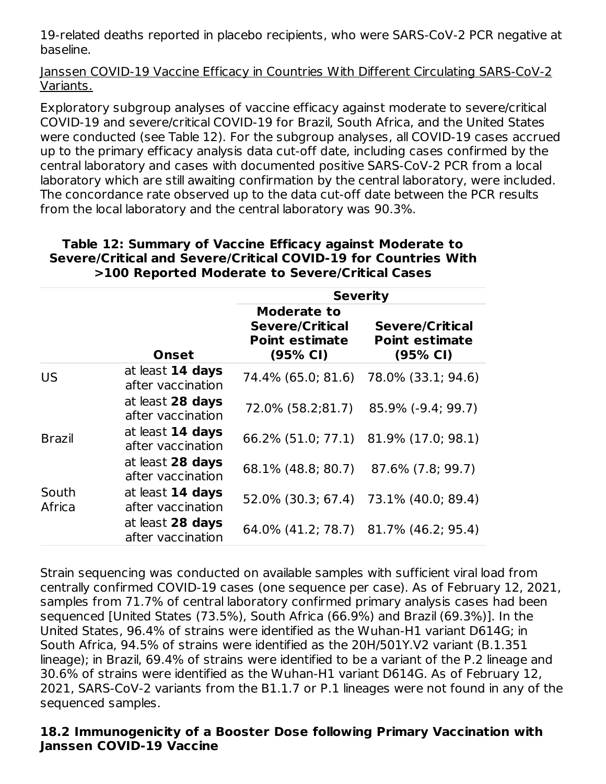19-related deaths reported in placebo recipients, who were SARS-CoV-2 PCR negative at baseline.

Janssen COVID-19 Vaccine Efficacy in Countries With Different Circulating SARS-CoV-2 Variants.

Exploratory subgroup analyses of vaccine efficacy against moderate to severe/critical COVID-19 and severe/critical COVID-19 for Brazil, South Africa, and the United States were conducted (see Table 12). For the subgroup analyses, all COVID-19 cases accrued up to the primary efficacy analysis data cut-off date, including cases confirmed by the central laboratory and cases with documented positive SARS-CoV-2 PCR from a local laboratory which are still awaiting confirmation by the central laboratory, were included. The concordance rate observed up to the data cut-off date between the PCR results from the local laboratory and the central laboratory was 90.3%.

|                 |                                       |                                                                            | <b>Severity</b>                                             |
|-----------------|---------------------------------------|----------------------------------------------------------------------------|-------------------------------------------------------------|
|                 | <b>Onset</b>                          | Moderate to<br><b>Severe/Critical</b><br><b>Point estimate</b><br>(95% CI) | <b>Severe/Critical</b><br><b>Point estimate</b><br>(95% CI) |
| <b>US</b>       | at least 14 days<br>after vaccination | 74.4% (65.0; 81.6)                                                         | 78.0% (33.1; 94.6)                                          |
|                 | at least 28 days<br>after vaccination | 72.0% (58.2;81.7)                                                          | 85.9% (-9.4; 99.7)                                          |
| <b>Brazil</b>   | at least 14 days<br>after vaccination | 66.2% (51.0; 77.1)                                                         | 81.9% (17.0; 98.1)                                          |
|                 | at least 28 days<br>after vaccination | 68.1% (48.8; 80.7)                                                         | 87.6% (7.8; 99.7)                                           |
| South<br>Africa | at least 14 days<br>after vaccination | 52.0% (30.3; 67.4)                                                         | 73.1% (40.0; 89.4)                                          |
|                 | at least 28 days<br>after vaccination | 64.0% (41.2; 78.7)                                                         | 81.7% (46.2; 95.4)                                          |

**Table 12: Summary of Vaccine Efficacy against Moderate to Severe/Critical and Severe/Critical COVID-19 for Countries With >100 Reported Moderate to Severe/Critical Cases**

Strain sequencing was conducted on available samples with sufficient viral load from centrally confirmed COVID-19 cases (one sequence per case). As of February 12, 2021, samples from 71.7% of central laboratory confirmed primary analysis cases had been sequenced [United States (73.5%), South Africa (66.9%) and Brazil (69.3%)]. In the United States, 96.4% of strains were identified as the Wuhan-H1 variant D614G; in South Africa, 94.5% of strains were identified as the 20H/501Y.V2 variant (B.1.351 lineage); in Brazil, 69.4% of strains were identified to be a variant of the P.2 lineage and 30.6% of strains were identified as the Wuhan-H1 variant D614G. As of February 12, 2021, SARS-CoV-2 variants from the B1.1.7 or P.1 lineages were not found in any of the sequenced samples.

### **18.2 Immunogenicity of a Booster Dose following Primary Vaccination with Janssen COVID-19 Vaccine**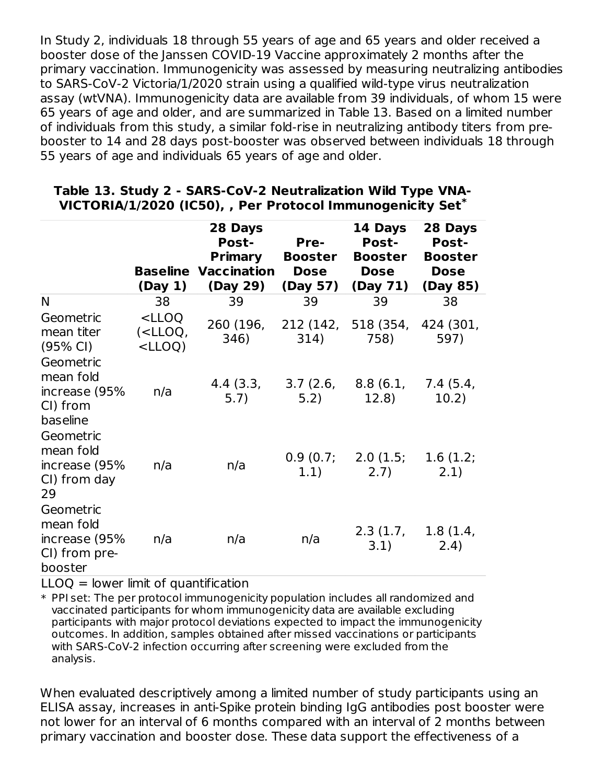In Study 2, individuals 18 through 55 years of age and 65 years and older received a booster dose of the Janssen COVID-19 Vaccine approximately 2 months after the primary vaccination. Immunogenicity was assessed by measuring neutralizing antibodies to SARS-CoV-2 Victoria/1/2020 strain using a qualified wild-type virus neutralization assay (wtVNA). Immunogenicity data are available from 39 individuals, of whom 15 were 65 years of age and older, and are summarized in Table 13. Based on a limited number of individuals from this study, a similar fold-rise in neutralizing antibody titers from prebooster to 14 and 28 days post-booster was observed between individuals 18 through 55 years of age and individuals 65 years of age and older.

|                                                                     |                                     | 28 Days<br><b>Post-</b><br><b>Primary</b><br><b>Baseline Vaccination</b> | Pre-<br><b>Booster</b><br><b>Dose</b> | 14 Days<br><b>Post-</b><br><b>Booster</b><br><b>Dose</b> | 28 Days<br><b>Post-</b><br><b>Booster</b><br><b>Dose</b> |
|---------------------------------------------------------------------|-------------------------------------|--------------------------------------------------------------------------|---------------------------------------|----------------------------------------------------------|----------------------------------------------------------|
|                                                                     | (Day 1)                             | (Day 29)                                                                 | (Day 57)                              | (Day 71)                                                 | (Day 85)                                                 |
| N                                                                   | 38                                  | 39                                                                       | 39                                    | 39                                                       | 38                                                       |
| Geometric<br>mean titer<br>$(95% \text{ Cl})$                       | $<$ LLOQ<br>$(<$ LLOQ,<br>$<$ LLOQ) | 260 (196,<br>346)                                                        | 212 (142,<br>314)                     | 518 (354,<br>758)                                        | 424 (301,<br>597)                                        |
| Geometric<br>mean fold<br>increase (95%<br>CI) from<br>baseline     | n/a                                 | 4.4 (3.3,<br>5.7)                                                        | 3.7(2.6)<br>5.2)                      | 8.8(6.1,<br>12.8)                                        | 7.4(5.4,<br>10.2)                                        |
| Geometric<br>mean fold<br>increase (95%<br>CI) from day<br>29       | n/a                                 | n/a                                                                      | 0.9(0.7)<br>1.1)                      | 2.0(1.5;<br>2.7)                                         | 1.6(1.2;<br>2.1)                                         |
| Geometric<br>mean fold<br>increase (95%<br>CI) from pre-<br>booster | n/a                                 | n/a                                                                      | n/a                                   | 2.3(1.7)<br>3.1)                                         | 1.8(1.4,<br>2.4)                                         |

### **Table 13. Study 2 - SARS-CoV-2 Neutralization Wild Type VNA-VICTORIA/1/2020 (IC50), , Per Protocol Immunogenicity Set \***

 $LLOQ =$  lower limit of quantification

\* PPI set: The per protocol immunogenicity population includes all randomized and vaccinated participants for whom immunogenicity data are available excluding participants with major protocol deviations expected to impact the immunogenicity outcomes. In addition, samples obtained after missed vaccinations or participants with SARS-CoV-2 infection occurring after screening were excluded from the analysis.

When evaluated descriptively among a limited number of study participants using an ELISA assay, increases in anti-Spike protein binding IgG antibodies post booster were not lower for an interval of 6 months compared with an interval of 2 months between primary vaccination and booster dose. These data support the effectiveness of a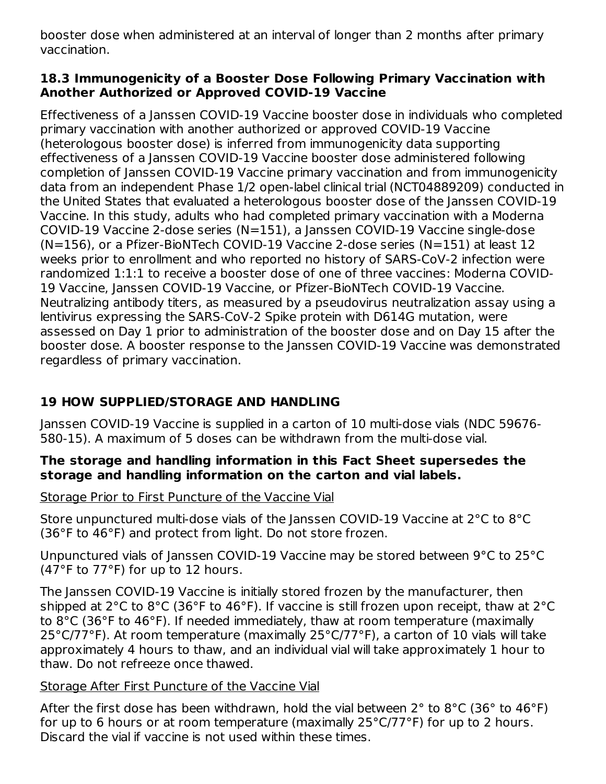booster dose when administered at an interval of longer than 2 months after primary vaccination.

### **18.3 Immunogenicity of a Booster Dose Following Primary Vaccination with Another Authorized or Approved COVID-19 Vaccine**

Effectiveness of a Janssen COVID-19 Vaccine booster dose in individuals who completed primary vaccination with another authorized or approved COVID-19 Vaccine (heterologous booster dose) is inferred from immunogenicity data supporting effectiveness of a Janssen COVID-19 Vaccine booster dose administered following completion of Janssen COVID-19 Vaccine primary vaccination and from immunogenicity data from an independent Phase 1/2 open-label clinical trial (NCT04889209) conducted in the United States that evaluated a heterologous booster dose of the Janssen COVID-19 Vaccine. In this study, adults who had completed primary vaccination with a Moderna COVID-19 Vaccine 2-dose series (N=151), a Janssen COVID-19 Vaccine single-dose (N=156), or a Pfizer-BioNTech COVID-19 Vaccine 2-dose series (N=151) at least 12 weeks prior to enrollment and who reported no history of SARS-CoV-2 infection were randomized 1:1:1 to receive a booster dose of one of three vaccines: Moderna COVID-19 Vaccine, Janssen COVID-19 Vaccine, or Pfizer-BioNTech COVID-19 Vaccine. Neutralizing antibody titers, as measured by a pseudovirus neutralization assay using a lentivirus expressing the SARS-CoV-2 Spike protein with D614G mutation, were assessed on Day 1 prior to administration of the booster dose and on Day 15 after the booster dose. A booster response to the Janssen COVID-19 Vaccine was demonstrated regardless of primary vaccination.

# **19 HOW SUPPLIED/STORAGE AND HANDLING**

Janssen COVID-19 Vaccine is supplied in a carton of 10 multi-dose vials (NDC 59676- 580-15). A maximum of 5 doses can be withdrawn from the multi-dose vial.

### **The storage and handling information in this Fact Sheet supersedes the storage and handling information on the carton and vial labels.**

Storage Prior to First Puncture of the Vaccine Vial

Store unpunctured multi-dose vials of the Janssen COVID-19 Vaccine at 2°C to 8°C (36°F to 46°F) and protect from light. Do not store frozen.

Unpunctured vials of Janssen COVID-19 Vaccine may be stored between 9°C to 25°C (47°F to 77°F) for up to 12 hours.

The Janssen COVID-19 Vaccine is initially stored frozen by the manufacturer, then shipped at 2°C to 8°C (36°F to 46°F). If vaccine is still frozen upon receipt, thaw at 2°C to 8°C (36°F to 46°F). If needed immediately, thaw at room temperature (maximally 25°C/77°F). At room temperature (maximally 25°C/77°F), a carton of 10 vials will take approximately 4 hours to thaw, and an individual vial will take approximately 1 hour to thaw. Do not refreeze once thawed.

### Storage After First Puncture of the Vaccine Vial

After the first dose has been withdrawn, hold the vial between  $2^{\circ}$  to  $8^{\circ}$ C (36 $^{\circ}$  to 46 $^{\circ}$ F) for up to 6 hours or at room temperature (maximally 25°C/77°F) for up to 2 hours. Discard the vial if vaccine is not used within these times.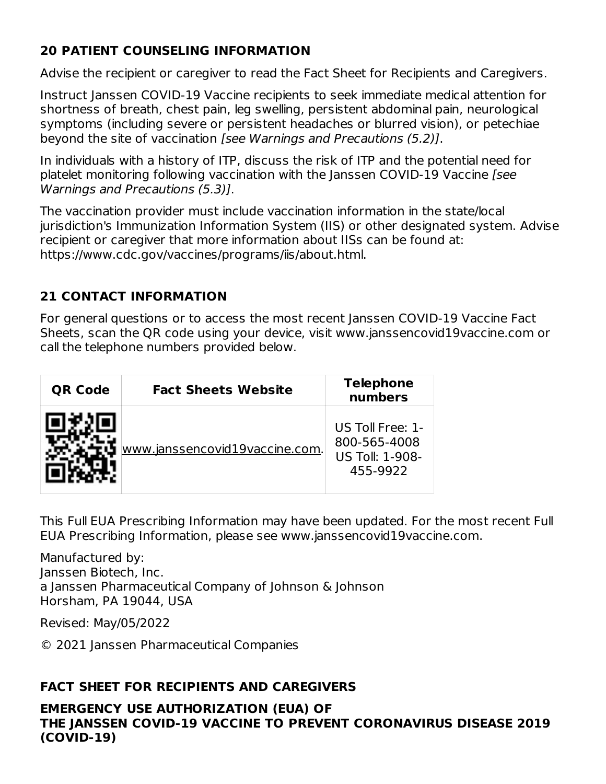## **20 PATIENT COUNSELING INFORMATION**

Advise the recipient or caregiver to read the Fact Sheet for Recipients and Caregivers.

Instruct Janssen COVID-19 Vaccine recipients to seek immediate medical attention for shortness of breath, chest pain, leg swelling, persistent abdominal pain, neurological symptoms (including severe or persistent headaches or blurred vision), or petechiae beyond the site of vaccination [see Warnings and Precautions (5.2)].

In individuals with a history of ITP, discuss the risk of ITP and the potential need for platelet monitoring following vaccination with the Janssen COVID-19 Vaccine [see Warnings and Precautions (5.3)].

The vaccination provider must include vaccination information in the state/local jurisdiction's Immunization Information System (IIS) or other designated system. Advise recipient or caregiver that more information about IISs can be found at: https://www.cdc.gov/vaccines/programs/iis/about.html.

# **21 CONTACT INFORMATION**

For general questions or to access the most recent Janssen COVID-19 Vaccine Fact Sheets, scan the QR code using your device, visit www.janssencovid19vaccine.com or call the telephone numbers provided below.

| <b>QR Code</b> | <b>Fact Sheets Website</b>     | <b>Telephone</b><br>numbers                                     |
|----------------|--------------------------------|-----------------------------------------------------------------|
|                | www.janssencovid19vaccine.com. | US Toll Free: 1-<br>800-565-4008<br>US Toll: 1-908-<br>455-9922 |

This Full EUA Prescribing Information may have been updated. For the most recent Full EUA Prescribing Information, please see www.janssencovid19vaccine.com.

Manufactured by: Janssen Biotech, Inc. a Janssen Pharmaceutical Company of Johnson & Johnson Horsham, PA 19044, USA

Revised: May/05/2022

© 2021 Janssen Pharmaceutical Companies

# **FACT SHEET FOR RECIPIENTS AND CAREGIVERS**

**EMERGENCY USE AUTHORIZATION (EUA) OF THE JANSSEN COVID-19 VACCINE TO PREVENT CORONAVIRUS DISEASE 2019 (COVID-19)**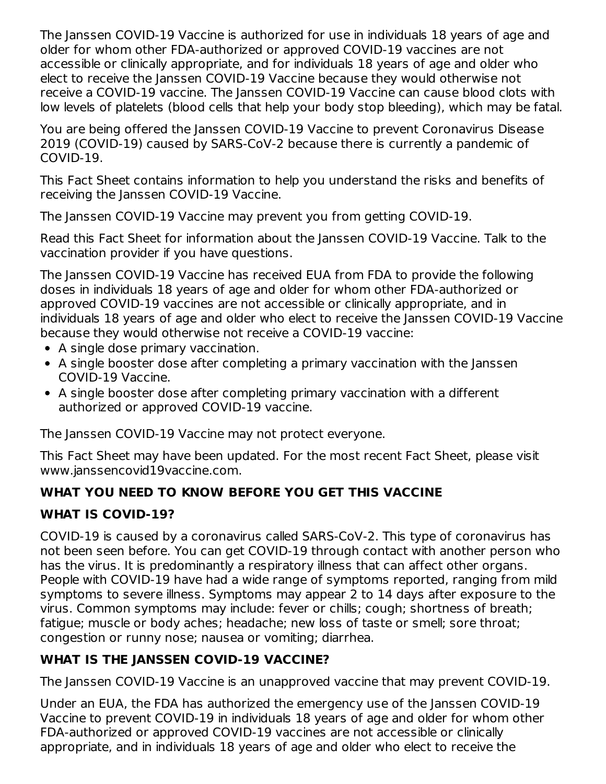The Janssen COVID-19 Vaccine is authorized for use in individuals 18 years of age and older for whom other FDA-authorized or approved COVID-19 vaccines are not accessible or clinically appropriate, and for individuals 18 years of age and older who elect to receive the Janssen COVID-19 Vaccine because they would otherwise not receive a COVID-19 vaccine. The Janssen COVID-19 Vaccine can cause blood clots with low levels of platelets (blood cells that help your body stop bleeding), which may be fatal.

You are being offered the Janssen COVID-19 Vaccine to prevent Coronavirus Disease 2019 (COVID-19) caused by SARS-CoV-2 because there is currently a pandemic of COVID-19.

This Fact Sheet contains information to help you understand the risks and benefits of receiving the Janssen COVID-19 Vaccine.

The Janssen COVID-19 Vaccine may prevent you from getting COVID-19.

Read this Fact Sheet for information about the Janssen COVID-19 Vaccine. Talk to the vaccination provider if you have questions.

The Janssen COVID-19 Vaccine has received EUA from FDA to provide the following doses in individuals 18 years of age and older for whom other FDA-authorized or approved COVID-19 vaccines are not accessible or clinically appropriate, and in individuals 18 years of age and older who elect to receive the Janssen COVID-19 Vaccine because they would otherwise not receive a COVID-19 vaccine:

- A single dose primary vaccination.
- A single booster dose after completing a primary vaccination with the Janssen COVID-19 Vaccine.
- A single booster dose after completing primary vaccination with a different authorized or approved COVID-19 vaccine.

The Janssen COVID-19 Vaccine may not protect everyone.

This Fact Sheet may have been updated. For the most recent Fact Sheet, please visit www.janssencovid19vaccine.com.

# **WHAT YOU NEED TO KNOW BEFORE YOU GET THIS VACCINE**

# **WHAT IS COVID-19?**

COVID-19 is caused by a coronavirus called SARS-CoV-2. This type of coronavirus has not been seen before. You can get COVID-19 through contact with another person who has the virus. It is predominantly a respiratory illness that can affect other organs. People with COVID-19 have had a wide range of symptoms reported, ranging from mild symptoms to severe illness. Symptoms may appear 2 to 14 days after exposure to the virus. Common symptoms may include: fever or chills; cough; shortness of breath; fatigue; muscle or body aches; headache; new loss of taste or smell; sore throat; congestion or runny nose; nausea or vomiting; diarrhea.

# **WHAT IS THE JANSSEN COVID-19 VACCINE?**

The Janssen COVID-19 Vaccine is an unapproved vaccine that may prevent COVID-19.

Under an EUA, the FDA has authorized the emergency use of the Janssen COVID-19 Vaccine to prevent COVID-19 in individuals 18 years of age and older for whom other FDA-authorized or approved COVID-19 vaccines are not accessible or clinically appropriate, and in individuals 18 years of age and older who elect to receive the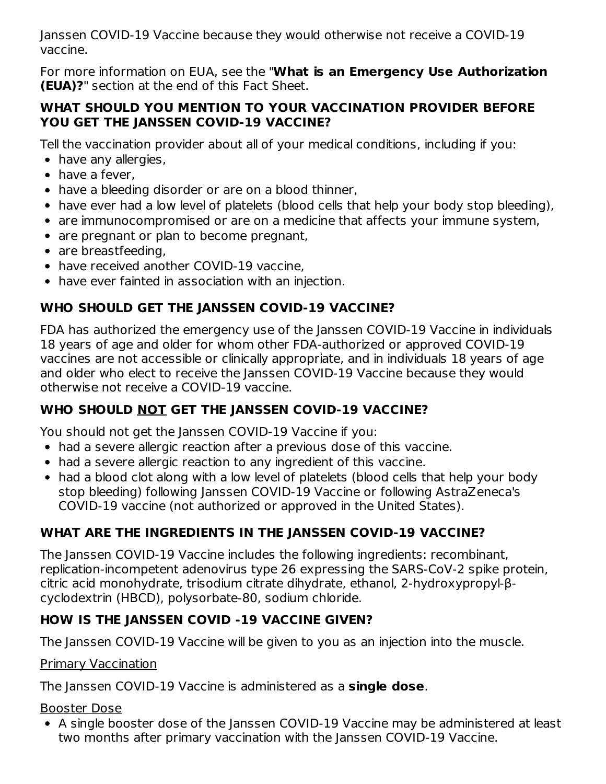Janssen COVID-19 Vaccine because they would otherwise not receive a COVID-19 vaccine.

For more information on EUA, see the "**What is an Emergency Use Authorization (EUA)?**" section at the end of this Fact Sheet.

### **WHAT SHOULD YOU MENTION TO YOUR VACCINATION PROVIDER BEFORE YOU GET THE JANSSEN COVID-19 VACCINE?**

Tell the vaccination provider about all of your medical conditions, including if you:

- have any allergies,
- have a fever,
- have a bleeding disorder or are on a blood thinner,
- have ever had a low level of platelets (blood cells that help your body stop bleeding),
- are immunocompromised or are on a medicine that affects your immune system,
- are pregnant or plan to become pregnant,
- are breastfeeding,
- have received another COVID-19 vaccine,
- have ever fainted in association with an injection.

# **WHO SHOULD GET THE JANSSEN COVID-19 VACCINE?**

FDA has authorized the emergency use of the Janssen COVID-19 Vaccine in individuals 18 years of age and older for whom other FDA-authorized or approved COVID-19 vaccines are not accessible or clinically appropriate, and in individuals 18 years of age and older who elect to receive the Janssen COVID-19 Vaccine because they would otherwise not receive a COVID-19 vaccine.

# **WHO SHOULD NOT GET THE JANSSEN COVID-19 VACCINE?**

You should not get the Janssen COVID-19 Vaccine if you:

- had a severe allergic reaction after a previous dose of this vaccine.
- had a severe allergic reaction to any ingredient of this vaccine.
- had a blood clot along with a low level of platelets (blood cells that help your body stop bleeding) following Janssen COVID-19 Vaccine or following AstraZeneca's COVID-19 vaccine (not authorized or approved in the United States).

# **WHAT ARE THE INGREDIENTS IN THE JANSSEN COVID-19 VACCINE?**

The Janssen COVID-19 Vaccine includes the following ingredients: recombinant, replication-incompetent adenovirus type 26 expressing the SARS-CoV-2 spike protein, citric acid monohydrate, trisodium citrate dihydrate, ethanol, 2-hydroxypropyl-βcyclodextrin (HBCD), polysorbate-80, sodium chloride.

# **HOW IS THE JANSSEN COVID -19 VACCINE GIVEN?**

The Janssen COVID-19 Vaccine will be given to you as an injection into the muscle.

# Primary Vaccination

The Janssen COVID-19 Vaccine is administered as a **single dose**.

# Booster Dose

A single booster dose of the Janssen COVID-19 Vaccine may be administered at least two months after primary vaccination with the Janssen COVID-19 Vaccine.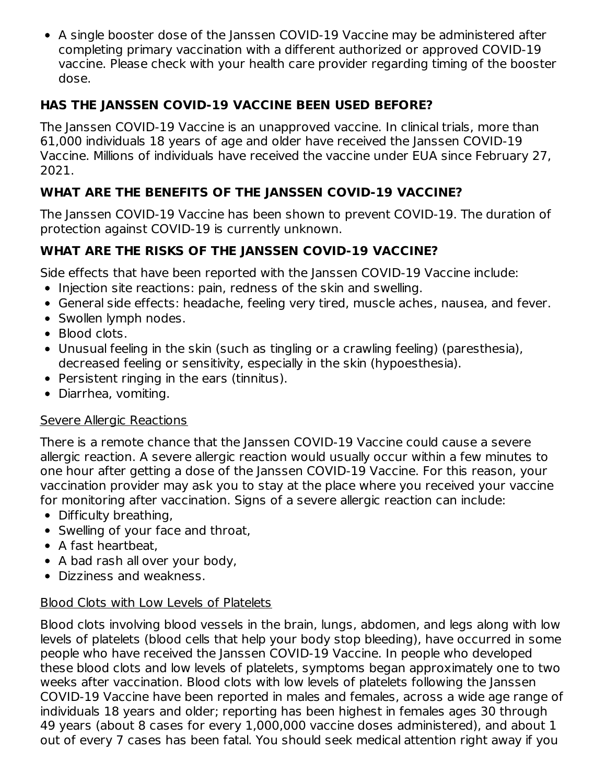A single booster dose of the Janssen COVID-19 Vaccine may be administered after completing primary vaccination with a different authorized or approved COVID-19 vaccine. Please check with your health care provider regarding timing of the booster dose.

# **HAS THE JANSSEN COVID-19 VACCINE BEEN USED BEFORE?**

The Janssen COVID-19 Vaccine is an unapproved vaccine. In clinical trials, more than 61,000 individuals 18 years of age and older have received the Janssen COVID-19 Vaccine. Millions of individuals have received the vaccine under EUA since February 27, 2021.

# **WHAT ARE THE BENEFITS OF THE JANSSEN COVID-19 VACCINE?**

The Janssen COVID-19 Vaccine has been shown to prevent COVID-19. The duration of protection against COVID-19 is currently unknown.

# **WHAT ARE THE RISKS OF THE JANSSEN COVID-19 VACCINE?**

Side effects that have been reported with the Janssen COVID-19 Vaccine include:

- Injection site reactions: pain, redness of the skin and swelling.
- General side effects: headache, feeling very tired, muscle aches, nausea, and fever.
- Swollen lymph nodes.
- Blood clots.
- Unusual feeling in the skin (such as tingling or a crawling feeling) (paresthesia), decreased feeling or sensitivity, especially in the skin (hypoesthesia).
- Persistent ringing in the ears (tinnitus).
- Diarrhea, vomiting.

### Severe Allergic Reactions

There is a remote chance that the Janssen COVID-19 Vaccine could cause a severe allergic reaction. A severe allergic reaction would usually occur within a few minutes to one hour after getting a dose of the Janssen COVID-19 Vaccine. For this reason, your vaccination provider may ask you to stay at the place where you received your vaccine for monitoring after vaccination. Signs of a severe allergic reaction can include:

- Difficulty breathing,
- Swelling of your face and throat,
- A fast heartbeat.
- A bad rash all over your body,
- Dizziness and weakness.

### Blood Clots with Low Levels of Platelets

Blood clots involving blood vessels in the brain, lungs, abdomen, and legs along with low levels of platelets (blood cells that help your body stop bleeding), have occurred in some people who have received the Janssen COVID-19 Vaccine. In people who developed these blood clots and low levels of platelets, symptoms began approximately one to two weeks after vaccination. Blood clots with low levels of platelets following the Janssen COVID-19 Vaccine have been reported in males and females, across a wide age range of individuals 18 years and older; reporting has been highest in females ages 30 through 49 years (about 8 cases for every 1,000,000 vaccine doses administered), and about 1 out of every 7 cases has been fatal. You should seek medical attention right away if you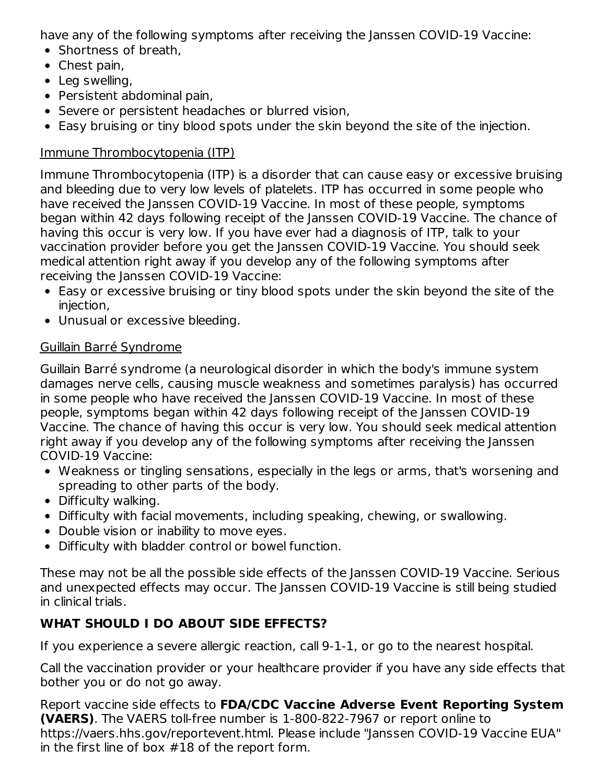have any of the following symptoms after receiving the Janssen COVID-19 Vaccine:

- Shortness of breath,
- Chest pain,
- Leg swelling,
- Persistent abdominal pain,
- Severe or persistent headaches or blurred vision.
- Easy bruising or tiny blood spots under the skin beyond the site of the injection.

# Immune Thrombocytopenia (ITP)

Immune Thrombocytopenia (ITP) is a disorder that can cause easy or excessive bruising and bleeding due to very low levels of platelets. ITP has occurred in some people who have received the Janssen COVID-19 Vaccine. In most of these people, symptoms began within 42 days following receipt of the Janssen COVID-19 Vaccine. The chance of having this occur is very low. If you have ever had a diagnosis of ITP, talk to your vaccination provider before you get the Janssen COVID-19 Vaccine. You should seek medical attention right away if you develop any of the following symptoms after receiving the Janssen COVID-19 Vaccine:

- Easy or excessive bruising or tiny blood spots under the skin beyond the site of the injection,
- Unusual or excessive bleeding.

# Guillain Barré Syndrome

Guillain Barré syndrome (a neurological disorder in which the body's immune system damages nerve cells, causing muscle weakness and sometimes paralysis) has occurred in some people who have received the Janssen COVID-19 Vaccine. In most of these people, symptoms began within 42 days following receipt of the Janssen COVID-19 Vaccine. The chance of having this occur is very low. You should seek medical attention right away if you develop any of the following symptoms after receiving the Janssen COVID-19 Vaccine:

- Weakness or tingling sensations, especially in the legs or arms, that's worsening and spreading to other parts of the body.
- Difficulty walking.
- Difficulty with facial movements, including speaking, chewing, or swallowing.
- Double vision or inability to move eyes.
- Difficulty with bladder control or bowel function.

These may not be all the possible side effects of the Janssen COVID-19 Vaccine. Serious and unexpected effects may occur. The Janssen COVID-19 Vaccine is still being studied in clinical trials.

# **WHAT SHOULD I DO ABOUT SIDE EFFECTS?**

If you experience a severe allergic reaction, call 9-1-1, or go to the nearest hospital.

Call the vaccination provider or your healthcare provider if you have any side effects that bother you or do not go away.

Report vaccine side effects to **FDA/CDC Vaccine Adverse Event Reporting System (VAERS)**. The VAERS toll-free number is 1-800-822-7967 or report online to https://vaers.hhs.gov/reportevent.html. Please include "Janssen COVID-19 Vaccine EUA" in the first line of box #18 of the report form.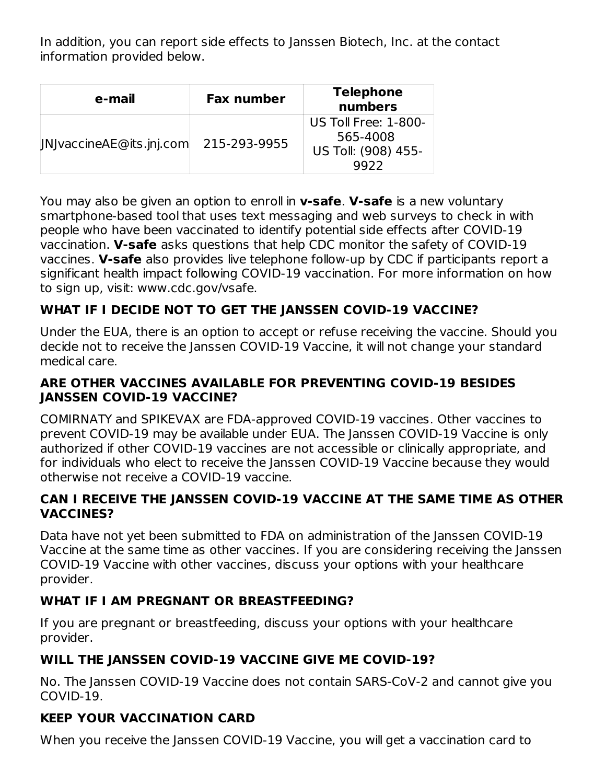In addition, you can report side effects to Janssen Biotech, Inc. at the contact information provided below.

| e-mail                   | <b>Fax number</b> | <b>Telephone</b><br>numbers                                     |
|--------------------------|-------------------|-----------------------------------------------------------------|
| JNJvaccineAE@its.jnj.com | 215-293-9955      | US Toll Free: 1-800-<br>565-4008<br>US Toll: (908) 455-<br>9922 |

You may also be given an option to enroll in **v-safe**. **V-safe** is a new voluntary smartphone-based tool that uses text messaging and web surveys to check in with people who have been vaccinated to identify potential side effects after COVID-19 vaccination. **V-safe** asks questions that help CDC monitor the safety of COVID-19 vaccines. **V-safe** also provides live telephone follow-up by CDC if participants report a significant health impact following COVID-19 vaccination. For more information on how to sign up, visit: www.cdc.gov/vsafe.

## **WHAT IF I DECIDE NOT TO GET THE JANSSEN COVID-19 VACCINE?**

Under the EUA, there is an option to accept or refuse receiving the vaccine. Should you decide not to receive the Janssen COVID-19 Vaccine, it will not change your standard medical care.

### **ARE OTHER VACCINES AVAILABLE FOR PREVENTING COVID-19 BESIDES JANSSEN COVID-19 VACCINE?**

COMIRNATY and SPIKEVAX are FDA-approved COVID-19 vaccines. Other vaccines to prevent COVID-19 may be available under EUA. The Janssen COVID-19 Vaccine is only authorized if other COVID-19 vaccines are not accessible or clinically appropriate, and for individuals who elect to receive the Janssen COVID-19 Vaccine because they would otherwise not receive a COVID-19 vaccine.

### **CAN I RECEIVE THE JANSSEN COVID-19 VACCINE AT THE SAME TIME AS OTHER VACCINES?**

Data have not yet been submitted to FDA on administration of the Janssen COVID-19 Vaccine at the same time as other vaccines. If you are considering receiving the Janssen COVID-19 Vaccine with other vaccines, discuss your options with your healthcare provider.

### **WHAT IF I AM PREGNANT OR BREASTFEEDING?**

If you are pregnant or breastfeeding, discuss your options with your healthcare provider.

### **WILL THE JANSSEN COVID-19 VACCINE GIVE ME COVID-19?**

No. The Janssen COVID-19 Vaccine does not contain SARS-CoV-2 and cannot give you COVID-19.

# **KEEP YOUR VACCINATION CARD**

When you receive the Janssen COVID-19 Vaccine, you will get a vaccination card to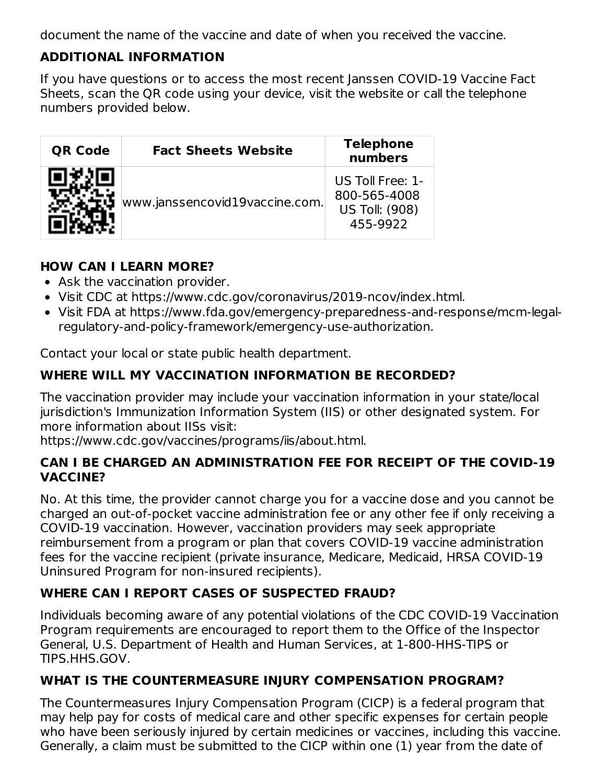document the name of the vaccine and date of when you received the vaccine.

# **ADDITIONAL INFORMATION**

If you have questions or to access the most recent Janssen COVID-19 Vaccine Fact Sheets, scan the QR code using your device, visit the website or call the telephone numbers provided below.

| <b>QR Code</b> | <b>Fact Sheets Website</b>     | <b>Telephone</b><br>numbers                                    |
|----------------|--------------------------------|----------------------------------------------------------------|
|                | www.janssencovid19vaccine.com. | US Toll Free: 1-<br>800-565-4008<br>US Toll: (908)<br>455-9922 |

# **HOW CAN I LEARN MORE?**

- Ask the vaccination provider.
- Visit CDC at https://www.cdc.gov/coronavirus/2019-ncov/index.html.
- Visit FDA at https://www.fda.gov/emergency-preparedness-and-response/mcm-legalregulatory-and-policy-framework/emergency-use-authorization.

Contact your local or state public health department.

# **WHERE WILL MY VACCINATION INFORMATION BE RECORDED?**

The vaccination provider may include your vaccination information in your state/local jurisdiction's Immunization Information System (IIS) or other designated system. For more information about IISs visit:

https://www.cdc.gov/vaccines/programs/iis/about.html.

### **CAN I BE CHARGED AN ADMINISTRATION FEE FOR RECEIPT OF THE COVID-19 VACCINE?**

No. At this time, the provider cannot charge you for a vaccine dose and you cannot be charged an out-of-pocket vaccine administration fee or any other fee if only receiving a COVID-19 vaccination. However, vaccination providers may seek appropriate reimbursement from a program or plan that covers COVID-19 vaccine administration fees for the vaccine recipient (private insurance, Medicare, Medicaid, HRSA COVID-19 Uninsured Program for non-insured recipients).

# **WHERE CAN I REPORT CASES OF SUSPECTED FRAUD?**

Individuals becoming aware of any potential violations of the CDC COVID-19 Vaccination Program requirements are encouraged to report them to the Office of the Inspector General, U.S. Department of Health and Human Services, at 1-800-HHS-TIPS or TIPS.HHS.GOV.

# **WHAT IS THE COUNTERMEASURE INJURY COMPENSATION PROGRAM?**

The Countermeasures Injury Compensation Program (CICP) is a federal program that may help pay for costs of medical care and other specific expenses for certain people who have been seriously injured by certain medicines or vaccines, including this vaccine. Generally, a claim must be submitted to the CICP within one (1) year from the date of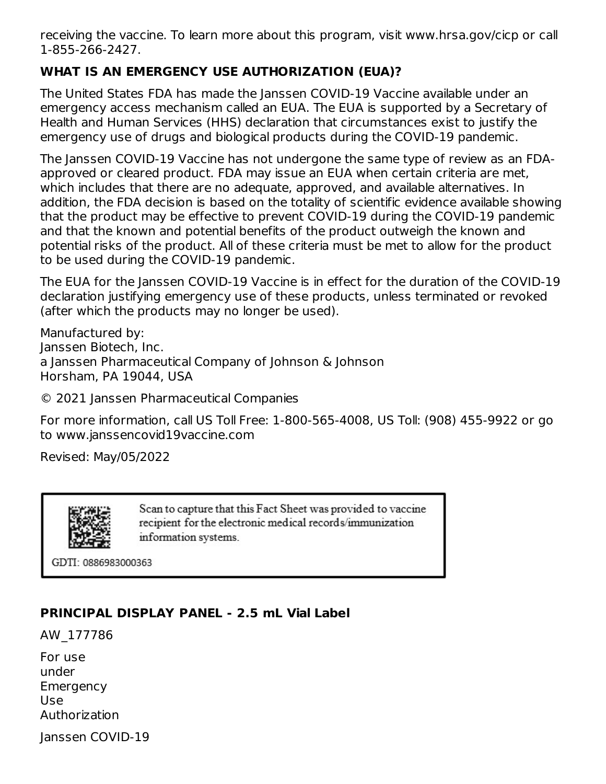receiving the vaccine. To learn more about this program, visit www.hrsa.gov/cicp or call 1-855-266-2427.

## **WHAT IS AN EMERGENCY USE AUTHORIZATION (EUA)?**

The United States FDA has made the Janssen COVID-19 Vaccine available under an emergency access mechanism called an EUA. The EUA is supported by a Secretary of Health and Human Services (HHS) declaration that circumstances exist to justify the emergency use of drugs and biological products during the COVID-19 pandemic.

The Janssen COVID-19 Vaccine has not undergone the same type of review as an FDAapproved or cleared product. FDA may issue an EUA when certain criteria are met, which includes that there are no adequate, approved, and available alternatives. In addition, the FDA decision is based on the totality of scientific evidence available showing that the product may be effective to prevent COVID-19 during the COVID-19 pandemic and that the known and potential benefits of the product outweigh the known and potential risks of the product. All of these criteria must be met to allow for the product to be used during the COVID-19 pandemic.

The EUA for the Janssen COVID-19 Vaccine is in effect for the duration of the COVID-19 declaration justifying emergency use of these products, unless terminated or revoked (after which the products may no longer be used).

Manufactured by: Janssen Biotech, Inc. a Janssen Pharmaceutical Company of Johnson & Johnson Horsham, PA 19044, USA

© 2021 Janssen Pharmaceutical Companies

For more information, call US Toll Free: 1-800-565-4008, US Toll: (908) 455-9922 or go to www.janssencovid19vaccine.com

Revised: May/05/2022



Scan to capture that this Fact Sheet was provided to vaccine recipient for the electronic medical records/immunization information systems.

GDTI: 0886983000363

### **PRINCIPAL DISPLAY PANEL - 2.5 mL Vial Label**

AW\_177786

For use under Emergency Use Authorization

Janssen COVID-19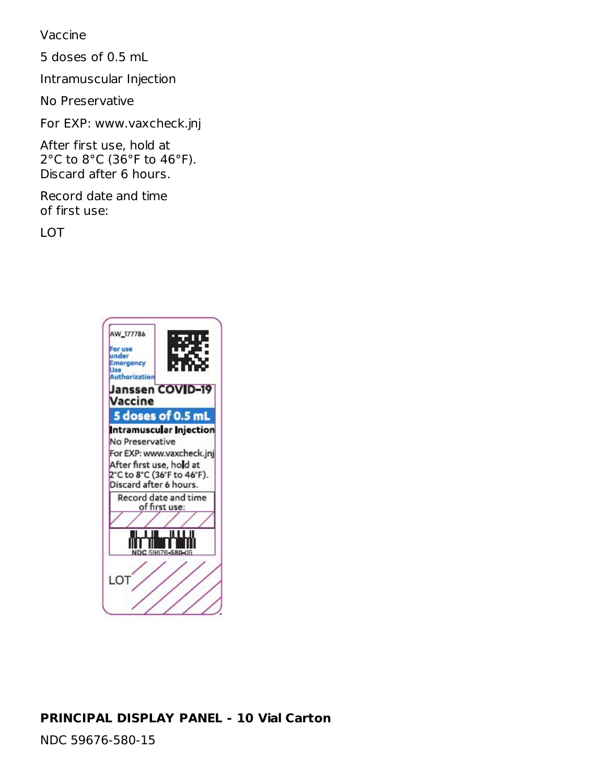Vaccine

5 doses of 0.5 mL

Intramuscular Injection

No Preservative

For EXP: www.vaxcheck.jnj

After first use, hold at 2°C to 8°C (36°F to 46°F). Discard after 6 hours.

Record date and time of first use:

LOT



### **PRINCIPAL DISPLAY PANEL - 10 Vial Carton**

NDC 59676-580-15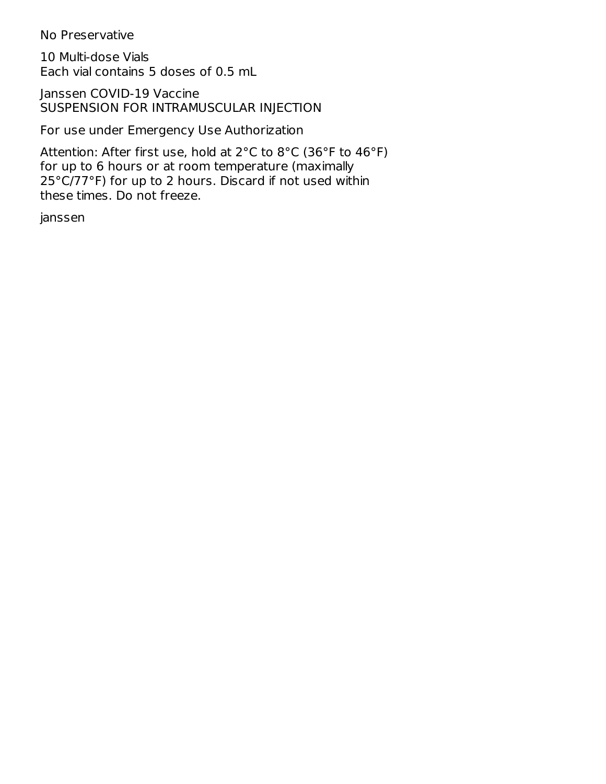No Preservative

10 Multi-dose Vials Each vial contains 5 doses of 0.5 mL

Janssen COVID-19 Vaccine SUSPENSION FOR INTRAMUSCULAR INJECTION

For use under Emergency Use Authorization

Attention: After first use, hold at 2°C to 8°C (36°F to 46°F) for up to 6 hours or at room temperature (maximally 25°C/77°F) for up to 2 hours. Discard if not used within these times. Do not freeze.

janssen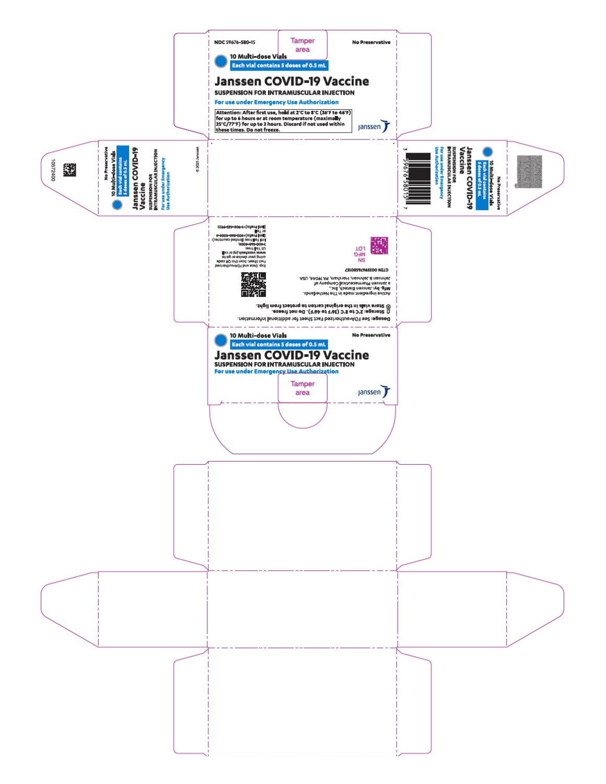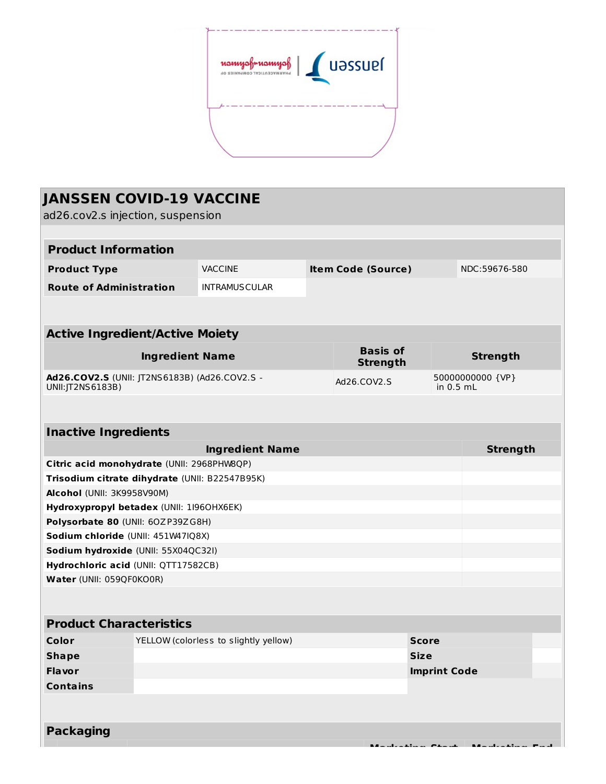

| <b>JANSSEN COVID-19 VACCINE</b><br>ad26.cov2.s injection, suspension |                        |                                       |                                    |                     |                               |  |
|----------------------------------------------------------------------|------------------------|---------------------------------------|------------------------------------|---------------------|-------------------------------|--|
| <b>Product Information</b>                                           |                        |                                       |                                    |                     |                               |  |
| <b>Product Type</b>                                                  |                        | <b>VACCINE</b>                        | <b>Item Code (Source)</b>          |                     | NDC:59676-580                 |  |
| <b>Route of Administration</b>                                       |                        | <b>INTRAMUSCULAR</b>                  |                                    |                     |                               |  |
|                                                                      |                        |                                       |                                    |                     |                               |  |
| <b>Active Ingredient/Active Moiety</b>                               |                        |                                       |                                    |                     |                               |  |
|                                                                      | <b>Ingredient Name</b> |                                       | <b>Basis of</b><br><b>Strength</b> |                     | <b>Strength</b>               |  |
| Ad26.COV2.S (UNII: JT2NS6183B) (Ad26.COV2.S -<br>UNII: JT2NS6183B)   |                        |                                       | Ad26.COV2.S                        |                     | 50000000000 {VP}<br>in 0.5 mL |  |
|                                                                      |                        |                                       |                                    |                     |                               |  |
| <b>Inactive Ingredients</b>                                          |                        |                                       |                                    |                     |                               |  |
|                                                                      |                        | <b>Ingredient Name</b>                |                                    |                     | <b>Strength</b>               |  |
| Citric acid monohydrate (UNII: 2968PHW8QP)                           |                        |                                       |                                    |                     |                               |  |
| Trisodium citrate dihydrate (UNII: B22547B95K)                       |                        |                                       |                                    |                     |                               |  |
| Alcohol (UNII: 3K9958V90M)                                           |                        |                                       |                                    |                     |                               |  |
| Hydroxypropyl betadex (UNII: 11960HX6EK)                             |                        |                                       |                                    |                     |                               |  |
| Polysorbate 80 (UNII: 60ZP39ZG8H)                                    |                        |                                       |                                    |                     |                               |  |
| Sodium chloride (UNII: 451W47IQ8X)                                   |                        |                                       |                                    |                     |                               |  |
| Sodium hydroxide (UNII: 55X04QC32I)                                  |                        |                                       |                                    |                     |                               |  |
| Hydrochloric acid (UNII: QTT17582CB)                                 |                        |                                       |                                    |                     |                               |  |
| Water (UNII: 059QF0KO0R)                                             |                        |                                       |                                    |                     |                               |  |
| <b>Product Characteristics</b>                                       |                        |                                       |                                    |                     |                               |  |
| Color                                                                |                        | YELLOW (colorless to slightly yellow) |                                    | <b>Score</b>        |                               |  |
| <b>Shape</b>                                                         |                        |                                       |                                    | <b>Size</b>         |                               |  |
| <b>Flavor</b>                                                        |                        |                                       |                                    | <b>Imprint Code</b> |                               |  |
| <b>Contains</b>                                                      |                        |                                       |                                    |                     |                               |  |
|                                                                      |                        |                                       |                                    |                     |                               |  |
| <b>Packaging</b>                                                     |                        |                                       |                                    |                     |                               |  |
|                                                                      |                        |                                       |                                    |                     |                               |  |